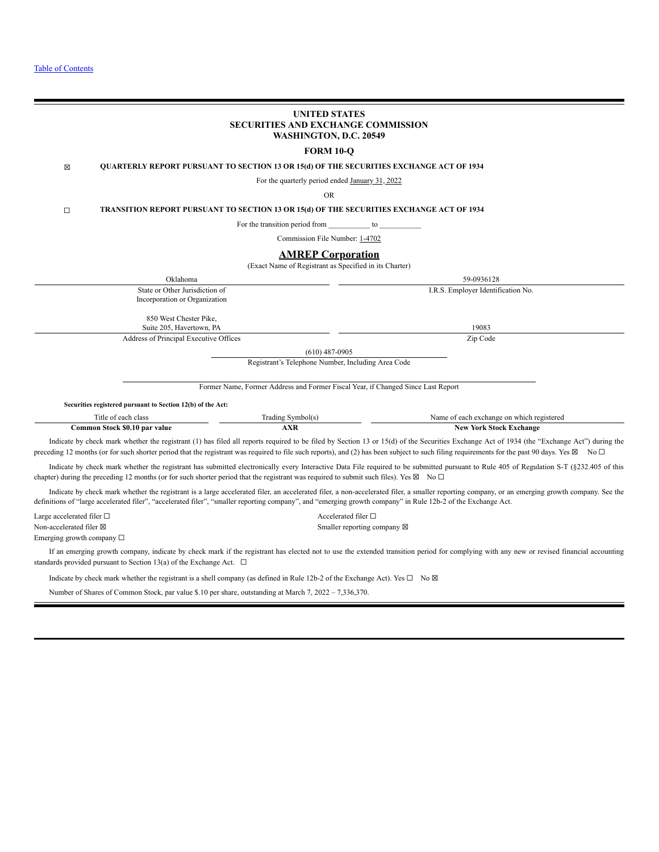|                                                                                                                                                              | <b>UNITED STATES</b><br>SECURITIES AND EXCHANGE COMMISSION<br>WASHINGTON, D.C. 20549 |                                                                                                                                                                                                                                                                                                                                                                                                            |
|--------------------------------------------------------------------------------------------------------------------------------------------------------------|--------------------------------------------------------------------------------------|------------------------------------------------------------------------------------------------------------------------------------------------------------------------------------------------------------------------------------------------------------------------------------------------------------------------------------------------------------------------------------------------------------|
|                                                                                                                                                              | <b>FORM 10-Q</b>                                                                     |                                                                                                                                                                                                                                                                                                                                                                                                            |
| X                                                                                                                                                            |                                                                                      | <b>QUARTERLY REPORT PURSUANT TO SECTION 13 OR 15(d) OF THE SECURITIES EXCHANGE ACT OF 1934</b>                                                                                                                                                                                                                                                                                                             |
|                                                                                                                                                              | For the quarterly period ended January 31, 2022                                      |                                                                                                                                                                                                                                                                                                                                                                                                            |
|                                                                                                                                                              | <b>OR</b>                                                                            |                                                                                                                                                                                                                                                                                                                                                                                                            |
| $\Box$                                                                                                                                                       |                                                                                      | TRANSITION REPORT PURSUANT TO SECTION 13 OR 15(d) OF THE SECURITIES EXCHANGE ACT OF 1934                                                                                                                                                                                                                                                                                                                   |
|                                                                                                                                                              | For the transition period from                                                       | to                                                                                                                                                                                                                                                                                                                                                                                                         |
|                                                                                                                                                              | Commission File Number: 1-4702                                                       |                                                                                                                                                                                                                                                                                                                                                                                                            |
|                                                                                                                                                              | <b>AMREP Corporation</b><br>(Exact Name of Registrant as Specified in its Charter)   |                                                                                                                                                                                                                                                                                                                                                                                                            |
| Oklahoma                                                                                                                                                     |                                                                                      | 59-0936128                                                                                                                                                                                                                                                                                                                                                                                                 |
| State or Other Jurisdiction of<br>Incorporation or Organization                                                                                              |                                                                                      | I.R.S. Employer Identification No.                                                                                                                                                                                                                                                                                                                                                                         |
| 850 West Chester Pike,<br>Suite 205, Havertown, PA<br>Address of Principal Executive Offices                                                                 |                                                                                      | 19083<br>Zip Code                                                                                                                                                                                                                                                                                                                                                                                          |
|                                                                                                                                                              | $(610)$ 487-0905                                                                     |                                                                                                                                                                                                                                                                                                                                                                                                            |
|                                                                                                                                                              | Registrant's Telephone Number, Including Area Code                                   |                                                                                                                                                                                                                                                                                                                                                                                                            |
|                                                                                                                                                              | Former Name, Former Address and Former Fiscal Year, if Changed Since Last Report     |                                                                                                                                                                                                                                                                                                                                                                                                            |
| Securities registered pursuant to Section 12(b) of the Act:                                                                                                  |                                                                                      |                                                                                                                                                                                                                                                                                                                                                                                                            |
| Title of each class                                                                                                                                          | Trading Symbol(s)                                                                    | Name of each exchange on which registered                                                                                                                                                                                                                                                                                                                                                                  |
| Common Stock \$0.10 par value                                                                                                                                | $\overline{\bf A} \overline{\bf X} \overline{\bf R}$                                 | <b>New York Stock Exchange</b>                                                                                                                                                                                                                                                                                                                                                                             |
|                                                                                                                                                              |                                                                                      | Indicate by check mark whether the registrant (1) has filed all reports required to be filed by Section 13 or 15(d) of the Securities Exchange Act of 1934 (the "Exchange Act") during the<br>preceding 12 months (or for such shorter period that the registrant was required to file such reports), and (2) has been subject to such filing requirements for the past 90 days. Yes $\boxtimes$ No $\Box$ |
| chapter) during the preceding 12 months (or for such shorter period that the registrant was required to submit such files). Yes $\boxtimes$ No $\square$     |                                                                                      | Indicate by check mark whether the registrant has submitted electronically every Interactive Data File required to be submitted pursuant to Rule 405 of Regulation S-T (§232.405 of this                                                                                                                                                                                                                   |
| definitions of "large accelerated filer", "accelerated filer", "smaller reporting company", and "emerging growth company" in Rule 12b-2 of the Exchange Act. |                                                                                      | Indicate by check mark whether the registrant is a large accelerated filer, an accelerated filer, a non-accelerated filer, a smaller reporting company, or an emerging growth company. See the                                                                                                                                                                                                             |
| Large accelerated filer $\square$<br>Non-accelerated filer ⊠<br>Emerging growth company $\Box$                                                               |                                                                                      | Accelerated filer $\Box$<br>Smaller reporting company ⊠                                                                                                                                                                                                                                                                                                                                                    |
| standards provided pursuant to Section 13(a) of the Exchange Act. $\Box$                                                                                     |                                                                                      | If an emerging growth company, indicate by check mark if the registrant has elected not to use the extended transition period for complying with any new or revised financial accounting                                                                                                                                                                                                                   |
| Indicate by check mark whether the registrant is a shell company (as defined in Rule 12b-2 of the Exchange Act). Yes $\square$ No $\boxtimes$                |                                                                                      |                                                                                                                                                                                                                                                                                                                                                                                                            |

Number of Shares of Common Stock, par value \$.10 per share, outstanding at March 7, 2022 – 7,336,370.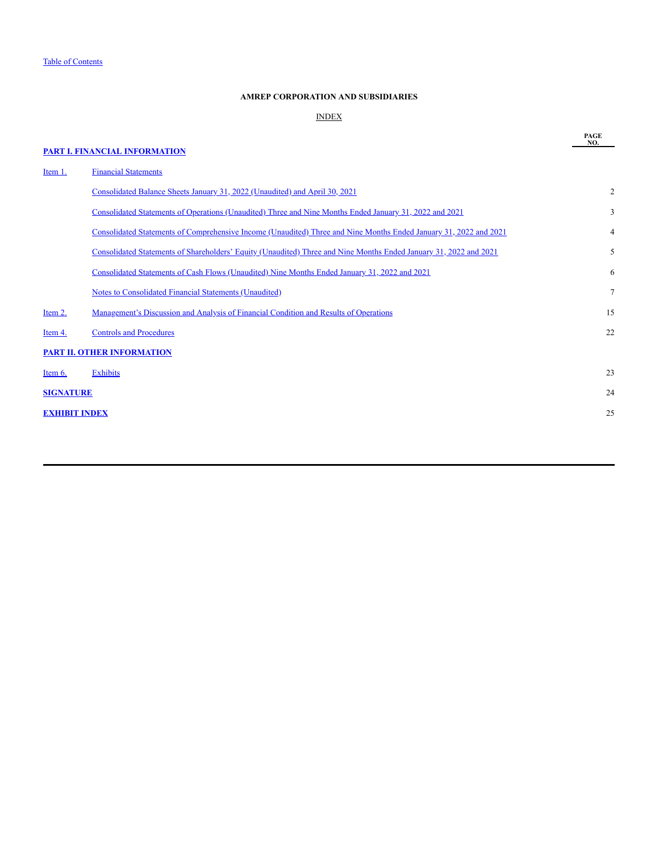# **AMREP CORPORATION AND SUBSIDIARIES**

## INDEX

<span id="page-1-0"></span>

|                      | <b>PART I. FINANCIAL INFORMATION</b>                                                                              | PAGE<br>NO.    |
|----------------------|-------------------------------------------------------------------------------------------------------------------|----------------|
| Item 1.              | <b>Financial Statements</b>                                                                                       |                |
|                      | Consolidated Balance Sheets January 31, 2022 (Unaudited) and April 30, 2021                                       | $\overline{c}$ |
|                      | Consolidated Statements of Operations (Unaudited) Three and Nine Months Ended January 31, 2022 and 2021           | 3              |
|                      | Consolidated Statements of Comprehensive Income (Unaudited) Three and Nine Months Ended January 31, 2022 and 2021 | 4              |
|                      | Consolidated Statements of Shareholders' Equity (Unaudited) Three and Nine Months Ended January 31, 2022 and 2021 | 5              |
|                      | Consolidated Statements of Cash Flows (Unaudited) Nine Months Ended January 31, 2022 and 2021                     | 6              |
|                      | <b>Notes to Consolidated Financial Statements (Unaudited)</b>                                                     | $\tau$         |
| Item 2.              | <u>Management's Discussion and Analysis of Financial Condition and Results of Operations</u>                      | 15             |
| Item 4.              | <b>Controls and Procedures</b>                                                                                    | 22             |
|                      | <b>PART II. OTHER INFORMATION</b>                                                                                 |                |
| Item 6.              | <b>Exhibits</b>                                                                                                   | 23             |
| <b>SIGNATURE</b>     |                                                                                                                   | 24             |
| <b>EXHIBIT INDEX</b> |                                                                                                                   | 25             |
|                      |                                                                                                                   |                |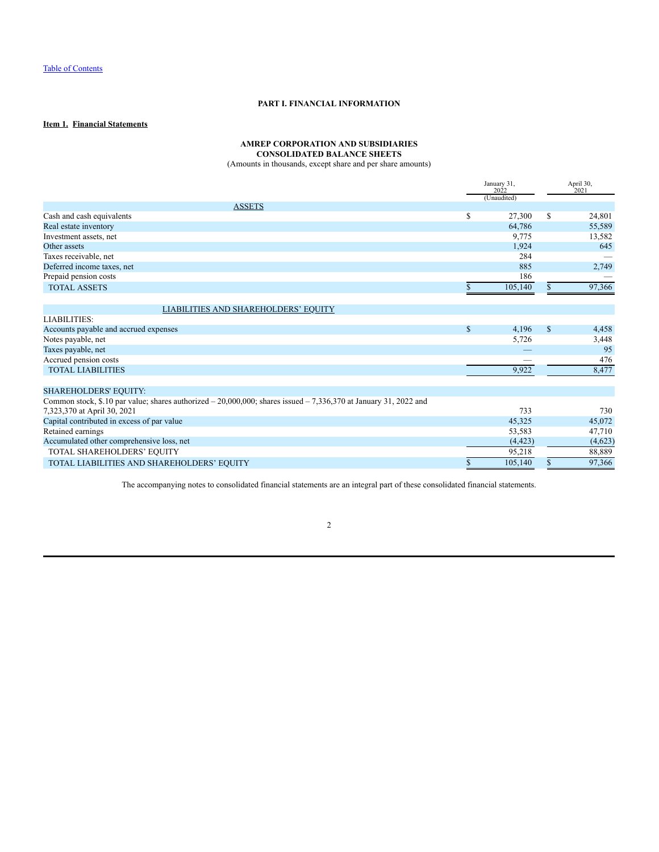# **PART I. FINANCIAL INFORMATION**

# <span id="page-2-2"></span><span id="page-2-1"></span><span id="page-2-0"></span>**Item 1. Financial Statements**

# **AMREP CORPORATION AND SUBSIDIARIES CONSOLIDATED BALANCE SHEETS**

(Amounts in thousands, except share and per share amounts)

|                                                                                                                     |              | January 31,<br>2022 |               | April 30,<br>2021 |
|---------------------------------------------------------------------------------------------------------------------|--------------|---------------------|---------------|-------------------|
|                                                                                                                     |              | (Unaudited)         |               |                   |
| <b>ASSETS</b>                                                                                                       |              |                     |               |                   |
| Cash and cash equivalents                                                                                           | \$           | 27,300              | <sup>\$</sup> | 24,801            |
| Real estate inventory                                                                                               |              | 64,786              |               | 55,589            |
| Investment assets, net                                                                                              |              | 9,775               |               | 13,582            |
| Other assets                                                                                                        |              | 1,924               |               | 645               |
| Taxes receivable, net                                                                                               |              | 284                 |               |                   |
| Deferred income taxes, net                                                                                          |              | 885                 |               | 2,749             |
| Prepaid pension costs                                                                                               |              | 186                 |               |                   |
| <b>TOTAL ASSETS</b>                                                                                                 |              | 105,140             | N.            | 97,366            |
|                                                                                                                     |              |                     |               |                   |
| <u>LIABILITIES AND SHAREHOLDERS' EQUITY</u>                                                                         |              |                     |               |                   |
| <b>LIABILITIES:</b>                                                                                                 |              |                     |               |                   |
| Accounts payable and accrued expenses                                                                               | $\mathbb{S}$ | 4,196               | $\mathbb{S}$  | 4,458             |
| Notes payable, net                                                                                                  |              | 5,726               |               | 3,448             |
| Taxes payable, net                                                                                                  |              |                     |               | 95                |
| Accrued pension costs                                                                                               |              |                     |               | 476               |
| <b>TOTAL LIABILITIES</b>                                                                                            |              | 9,922               |               | 8,477             |
| <b>SHAREHOLDERS' EQUITY:</b>                                                                                        |              |                     |               |                   |
| Common stock, \$.10 par value; shares authorized $-20,000,000$ ; shares issued $-7,336,370$ at January 31, 2022 and |              |                     |               |                   |
| 7,323,370 at April 30, 2021                                                                                         |              | 733                 |               | 730               |
| Capital contributed in excess of par value                                                                          |              | 45,325              |               | 45,072            |
|                                                                                                                     |              |                     |               |                   |

| Capital contributed in excess of par value | 45.325  | 45,072  |
|--------------------------------------------|---------|---------|
| Retained earnings                          | 53.583  | 47.710  |
| Accumulated other comprehensive loss, net  | (4.423) | (4.623) |
| TOTAL SHAREHOLDERS' EOUITY                 | 95.218  | 88.889  |
| TOTAL LIABILITIES AND SHAREHOLDERS' EQUITY | 105,140 | 97,366  |

The accompanying notes to consolidated financial statements are an integral part of these consolidated financial statements.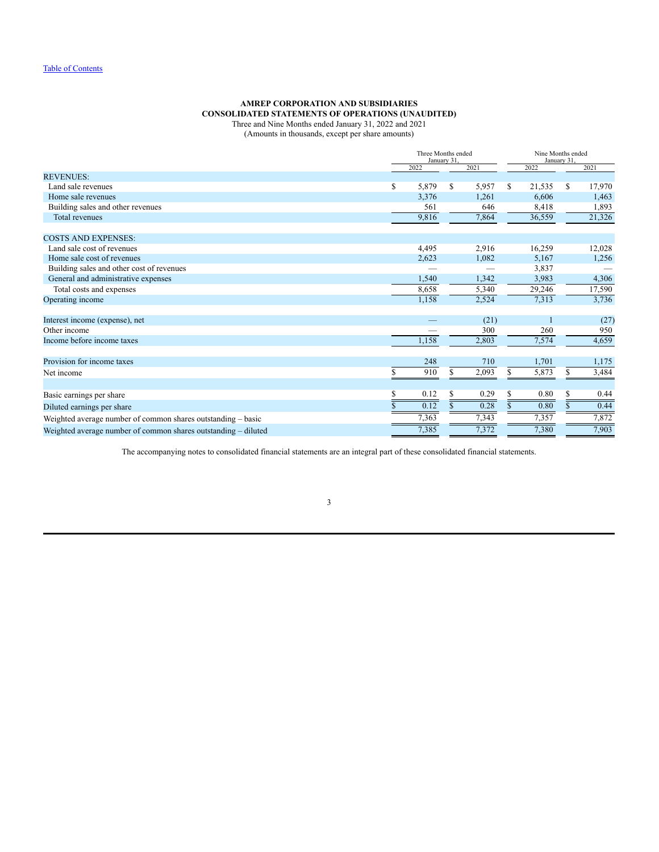# **AMREP CORPORATION AND SUBSIDIARIES CONSOLIDATED STATEMENTS OF OPERATIONS (UNAUDITED)**

Three and Nine Months ended January 31, 2022 and 2021 (Amounts in thousands, except per share amounts)

<span id="page-3-0"></span>

|                                                                | Three Months ended<br>January 31. |     |       |    |        | January 31, | Nine Months ended |  |
|----------------------------------------------------------------|-----------------------------------|-----|-------|----|--------|-------------|-------------------|--|
|                                                                | 2022                              |     | 2021  |    | 2022   |             | 2021              |  |
| <b>REVENUES:</b>                                               |                                   |     |       |    |        |             |                   |  |
| Land sale revenues                                             | \$<br>5,879                       | S   | 5,957 | S  | 21,535 | S           | 17,970            |  |
| Home sale revenues                                             | 3,376                             |     | 1,261 |    | 6,606  |             | 1,463             |  |
| Building sales and other revenues                              | 561                               |     | 646   |    | 8,418  |             | 1,893             |  |
| Total revenues                                                 | 9,816                             |     | 7,864 |    | 36,559 |             | 21,326            |  |
| <b>COSTS AND EXPENSES:</b>                                     |                                   |     |       |    |        |             |                   |  |
| Land sale cost of revenues                                     | 4,495                             |     | 2,916 |    | 16,259 |             | 12,028            |  |
| Home sale cost of revenues                                     | 2,623                             |     | 1,082 |    | 5,167  |             | 1,256             |  |
| Building sales and other cost of revenues                      |                                   |     |       |    | 3,837  |             |                   |  |
| General and administrative expenses                            | 1,540                             |     | 1,342 |    | 3,983  |             | 4,306             |  |
| Total costs and expenses                                       | 8,658                             |     | 5,340 |    | 29,246 |             | 17,590            |  |
| Operating income                                               | 1,158                             |     | 2,524 |    | 7,313  |             | 3,736             |  |
| Interest income (expense), net                                 |                                   |     | (21)  |    |        |             | (27)              |  |
| Other income                                                   |                                   |     | 300   |    | 260    |             | 950               |  |
| Income before income taxes                                     | 1,158                             |     | 2,803 |    | 7,574  |             | 4,659             |  |
| Provision for income taxes                                     | 248                               |     | 710   |    | 1,701  |             | 1,175             |  |
| Net income                                                     | 910                               | \$. | 2,093 | S  | 5,873  | S           | 3,484             |  |
|                                                                | 0.12                              | S   | 0.29  | -S | 0.80   | \$          | 0.44              |  |
| Basic earnings per share                                       |                                   |     |       |    |        |             |                   |  |
| Diluted earnings per share                                     | 0.12                              |     | 0.28  |    | 0.80   | S.          | 0.44              |  |
| Weighted average number of common shares outstanding - basic   | 7,363                             |     | 7,343 |    | 7,357  |             | 7,872             |  |
| Weighted average number of common shares outstanding – diluted | 7,385                             |     | 7,372 |    | 7,380  |             | 7,903             |  |

The accompanying notes to consolidated financial statements are an integral part of these consolidated financial statements.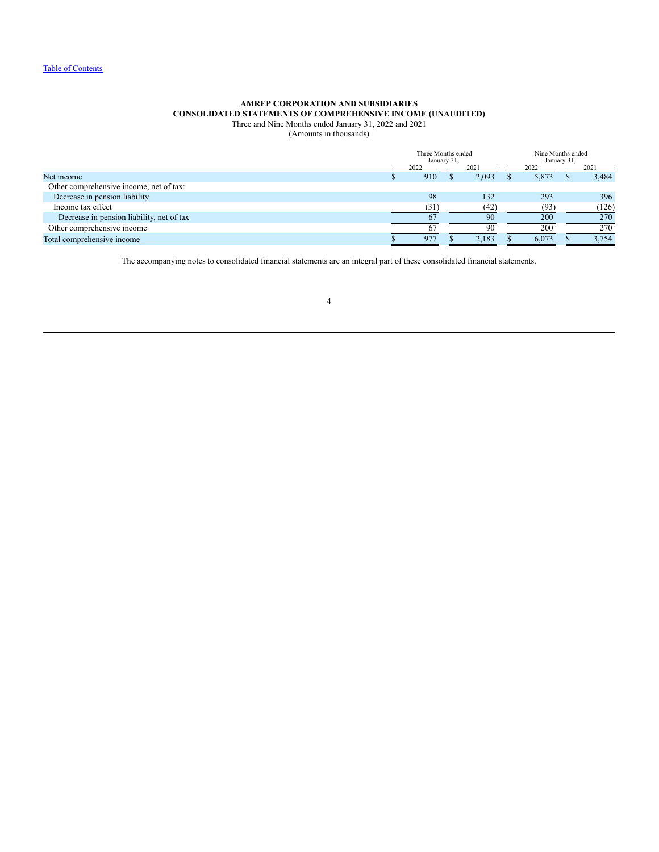# **AMREP CORPORATION AND SUBSIDIARIES**

#### **CONSOLIDATED STATEMENTS OF COMPREHENSIVE INCOME (UNAUDITED)** Three and Nine Months ended January 31, 2022 and 2021

(Amounts in thousands)

<span id="page-4-0"></span>

|                                           | Three Months ended<br>January 31. |  |       |  |       | Nine Months ended<br>January 31, |       |
|-------------------------------------------|-----------------------------------|--|-------|--|-------|----------------------------------|-------|
|                                           | 2022                              |  | 2021  |  | 2022  |                                  | 2021  |
| Net income                                | 910                               |  | 2,093 |  | 5,873 |                                  | 3,484 |
| Other comprehensive income, net of tax:   |                                   |  |       |  |       |                                  |       |
| Decrease in pension liability             | 98                                |  | 132   |  | 293   |                                  | 396   |
| Income tax effect                         | (31)                              |  | (42)  |  | (93)  |                                  | (126) |
| Decrease in pension liability, net of tax | 67                                |  | 90    |  | 200   |                                  | 270   |
| Other comprehensive income                | 67                                |  | 90    |  | 200   |                                  | 270   |
| Total comprehensive income                | 977                               |  | 2,183 |  | 6.073 |                                  | 3.754 |

The accompanying notes to consolidated financial statements are an integral part of these consolidated financial statements.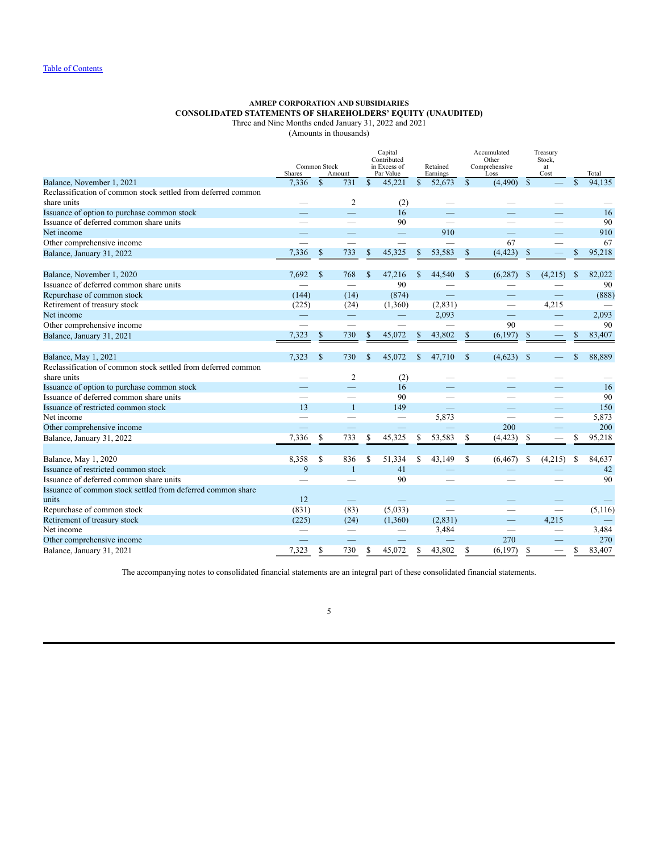### **AMREP CORPORATION AND SUBSIDIARIES CONSOLIDATED STATEMENTS OF SHAREHOLDERS' EQUITY (UNAUDITED)** Three and Nine Months ended January 31, 2022 and 2021

(Amounts in thousands)

<span id="page-5-0"></span>

|                                                               | Common Stock<br>Shares |    | Amount                   |    | Capital<br>Contributed<br>in Excess of<br>Par Value |    | Retained<br>Earnings     |             | Accumulated<br>Other<br>Comprehensive<br>Loss |               | Treasury<br>Stock,<br>at<br>Cost |                           | Total   |
|---------------------------------------------------------------|------------------------|----|--------------------------|----|-----------------------------------------------------|----|--------------------------|-------------|-----------------------------------------------|---------------|----------------------------------|---------------------------|---------|
| Balance, November 1, 2021                                     | 7,336                  | \$ | 731                      | S  | 45.221                                              | \$ | 52,673                   | $\mathbf S$ | (4,490)                                       | $\mathbf S$   |                                  | $\mathbf S$               | 94,135  |
| Reclassification of common stock settled from deferred common |                        |    |                          |    |                                                     |    |                          |             |                                               |               |                                  |                           |         |
| share units                                                   |                        |    | $\overline{c}$           |    | (2)                                                 |    |                          |             |                                               |               |                                  |                           |         |
| Issuance of option to purchase common stock                   |                        |    | $\overline{\phantom{0}}$ |    | 16                                                  |    |                          |             |                                               |               |                                  |                           | 16      |
| Issuance of deferred common share units                       |                        |    | $\overline{\phantom{0}}$ |    | 90                                                  |    |                          |             |                                               |               | $\overline{\phantom{0}}$         |                           | 90      |
| Net income                                                    |                        |    |                          |    | $\equiv$                                            |    | 910                      |             |                                               |               |                                  |                           | 910     |
| Other comprehensive income                                    |                        |    |                          |    |                                                     |    |                          |             | 67                                            |               |                                  |                           | 67      |
| Balance, January 31, 2022                                     | 7,336                  | \$ | 733                      | \$ | 45,325                                              | S  | 53,583                   | \$          | (4, 423)                                      | S             |                                  | \$                        | 95,218  |
| Balance, November 1, 2020                                     | 7.692                  | \$ | 768                      | S  | 47.216                                              | \$ | 44,540                   | \$          | (6, 287)                                      | \$            | (4,215)                          | S                         | 82,022  |
| Issuance of deferred common share units                       |                        |    |                          |    | 90                                                  |    |                          |             |                                               |               |                                  |                           | 90      |
| Repurchase of common stock                                    | (144)                  |    | (14)                     |    | (874)                                               |    |                          |             |                                               |               |                                  |                           | (888)   |
| Retirement of treasury stock                                  | (225)                  |    | (24)                     |    | (1,360)                                             |    | (2,831)                  |             |                                               |               | 4,215                            |                           |         |
| Net income                                                    |                        |    |                          |    |                                                     |    | 2,093                    |             |                                               |               |                                  |                           | 2,093   |
| Other comprehensive income                                    |                        |    |                          |    |                                                     |    |                          |             | 90                                            |               | $\overline{\phantom{0}}$         |                           | 90      |
| Balance, January 31, 2021                                     | 7,323                  | \$ | 730                      | \$ | 45,072                                              | \$ | 43,802                   | \$          | (6, 197)                                      | \$            |                                  | \$                        | 83,407  |
|                                                               |                        |    |                          |    |                                                     |    |                          |             |                                               |               |                                  |                           |         |
| Balance, May 1, 2021                                          | 7.323                  | \$ | 730                      | \$ | 45,072                                              | \$ | 47,710                   | \$          | (4,623)                                       | $\mathcal{S}$ |                                  | $\boldsymbol{\mathsf{S}}$ | 88.889  |
| Reclassification of common stock settled from deferred common |                        |    |                          |    |                                                     |    |                          |             |                                               |               |                                  |                           |         |
| share units                                                   |                        |    | $\mathfrak{2}$           |    | (2)                                                 |    |                          |             |                                               |               |                                  |                           |         |
| Issuance of option to purchase common stock                   |                        |    |                          |    | 16                                                  |    |                          |             |                                               |               |                                  |                           | 16      |
| Issuance of deferred common share units                       |                        |    |                          |    | 90                                                  |    |                          |             |                                               |               | $\overline{\phantom{0}}$         |                           | 90      |
| Issuance of restricted common stock                           | 13                     |    | $\mathbf{1}$             |    | 149                                                 |    | $\overline{\phantom{0}}$ |             |                                               |               | $\equiv$                         |                           | 150     |
| Net income                                                    |                        |    |                          |    |                                                     |    | 5,873                    |             |                                               |               |                                  |                           | 5,873   |
| Other comprehensive income                                    |                        |    |                          |    | $\overline{\phantom{0}}$                            |    |                          |             | 200                                           |               | $\equiv$                         |                           | 200     |
| Balance, January 31, 2022                                     | 7,336                  | \$ | 733                      | S  | 45,325                                              | \$ | 53,583                   | \$          | (4, 423)                                      | S             |                                  | \$                        | 95,218  |
| Balance, May 1, 2020                                          | 8,358                  | \$ | 836                      |    | 51.334                                              | \$ | 43.149                   | \$          | (6, 467)                                      | S             | (4,215)                          | \$                        | 84.637  |
| Issuance of restricted common stock                           | 9                      |    | 1                        |    | 41                                                  |    |                          |             |                                               |               |                                  |                           | 42      |
| Issuance of deferred common share units                       |                        |    |                          |    | 90                                                  |    |                          |             |                                               |               |                                  |                           | 90      |
| Issuance of common stock settled from deferred common share   |                        |    |                          |    |                                                     |    |                          |             |                                               |               |                                  |                           |         |
| units                                                         | 12                     |    |                          |    |                                                     |    |                          |             |                                               |               |                                  |                           |         |
| Repurchase of common stock                                    | (831)                  |    | (83)                     |    | (5,033)                                             |    | $\overline{\phantom{0}}$ |             |                                               |               | $\overline{\phantom{0}}$         |                           | (5,116) |
| Retirement of treasury stock                                  | (225)                  |    | (24)                     |    | (1,360)                                             |    | (2,831)                  |             |                                               |               | 4,215                            |                           |         |
| Net income                                                    |                        |    |                          |    |                                                     |    | 3,484                    |             |                                               |               | $\overline{\phantom{0}}$         |                           | 3,484   |
| Other comprehensive income                                    |                        |    |                          |    |                                                     |    |                          |             | 270                                           |               |                                  |                           | 270     |
| Balance, January 31, 2021                                     | 7,323                  | S  | 730                      | S  | 45,072                                              | \$ | 43,802                   | \$          | (6,197)                                       | S             |                                  | \$                        | 83,407  |

The accompanying notes to consolidated financial statements are an integral part of these consolidated financial statements.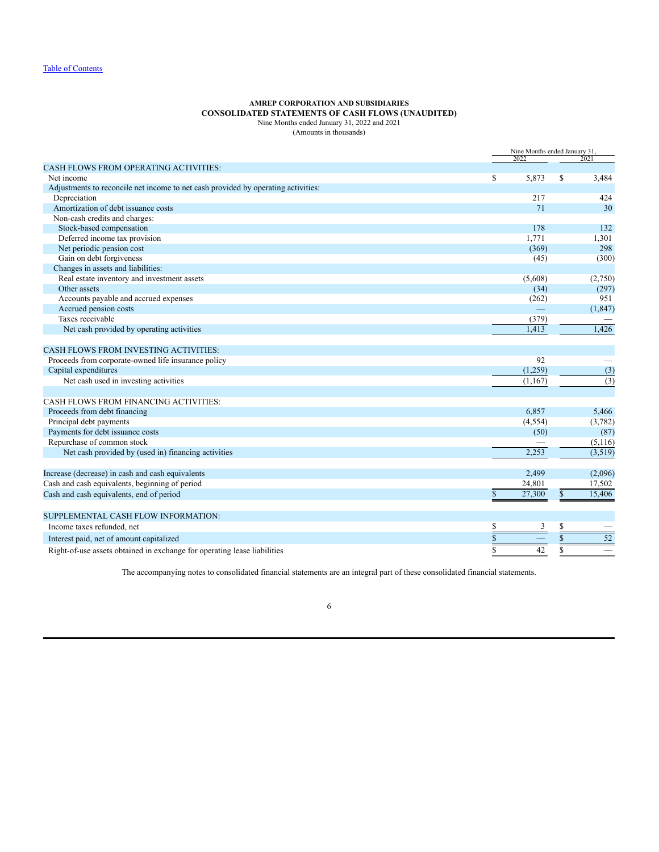# **AMREP CORPORATION AND SUBSIDIARIES**

# **CONSOLIDATED STATEMENTS OF CASH FLOWS (UNAUDITED)**

Nine Months ended January 31, 2022 and 2021

(Amounts in thousands)

<span id="page-6-0"></span>

|                                                                                   |                 | Nine Months ended January 31 |  |  |  |
|-----------------------------------------------------------------------------------|-----------------|------------------------------|--|--|--|
|                                                                                   | 2022            | 2021                         |  |  |  |
| CASH FLOWS FROM OPERATING ACTIVITIES:                                             |                 |                              |  |  |  |
| Net income                                                                        | 5.873<br>\$     | S.<br>3,484                  |  |  |  |
| Adjustments to reconcile net income to net cash provided by operating activities: | 217             |                              |  |  |  |
| Depreciation<br>Amortization of debt issuance costs                               | 71              | 424<br>30                    |  |  |  |
|                                                                                   |                 |                              |  |  |  |
| Non-cash credits and charges:                                                     |                 |                              |  |  |  |
| Stock-based compensation                                                          | 178<br>1.771    | 132                          |  |  |  |
| Deferred income tax provision                                                     |                 | 1,301<br>298                 |  |  |  |
| Net periodic pension cost                                                         | (369)           |                              |  |  |  |
| Gain on debt forgiveness                                                          | (45)            | (300)                        |  |  |  |
| Changes in assets and liabilities:                                                |                 |                              |  |  |  |
| Real estate inventory and investment assets<br>Other assets                       | (5,608)         | (2,750)                      |  |  |  |
|                                                                                   | (34)            | (297)                        |  |  |  |
| Accounts payable and accrued expenses                                             | (262)           | 951                          |  |  |  |
| Accrued pension costs<br>Taxes receivable                                         |                 | (1, 847)                     |  |  |  |
|                                                                                   | (379)           |                              |  |  |  |
| Net cash provided by operating activities                                         | 1,413           | 1,426                        |  |  |  |
|                                                                                   |                 |                              |  |  |  |
| <b>CASH FLOWS FROM INVESTING ACTIVITIES:</b>                                      |                 |                              |  |  |  |
| Proceeds from corporate-owned life insurance policy                               | 92              |                              |  |  |  |
| Capital expenditures                                                              | (1,259)         | (3)                          |  |  |  |
| Net cash used in investing activities                                             | (1,167)         | (3)                          |  |  |  |
|                                                                                   |                 |                              |  |  |  |
| CASH FLOWS FROM FINANCING ACTIVITIES:                                             |                 |                              |  |  |  |
| Proceeds from debt financing                                                      | 6.857           | 5,466                        |  |  |  |
| Principal debt payments                                                           | (4, 554)        | (3,782)                      |  |  |  |
| Payments for debt issuance costs                                                  | (50)            | (87)                         |  |  |  |
| Repurchase of common stock                                                        |                 | (5,116)                      |  |  |  |
| Net cash provided by (used in) financing activities                               | 2,253           | (3,519)                      |  |  |  |
|                                                                                   |                 |                              |  |  |  |
| Increase (decrease) in cash and cash equivalents                                  | 2,499           | (2,096)                      |  |  |  |
| Cash and cash equivalents, beginning of period                                    | 24,801          | 17,502                       |  |  |  |
| Cash and cash equivalents, end of period                                          | \$<br>27,300    | \$<br>15,406                 |  |  |  |
|                                                                                   |                 |                              |  |  |  |
| SUPPLEMENTAL CASH FLOW INFORMATION:                                               |                 |                              |  |  |  |
| Income taxes refunded, net                                                        | \$              | \$                           |  |  |  |
| Interest paid, net of amount capitalized                                          | $\overline{\$}$ | $\overline{\$}$<br>52        |  |  |  |
|                                                                                   |                 |                              |  |  |  |

Right-of-use assets obtained in exchange for operating lease liabilities  $\frac{\$ \qquad 42 \qquad \$ \qquad --}$ 

The accompanying notes to consolidated financial statements are an integral part of these consolidated financial statements.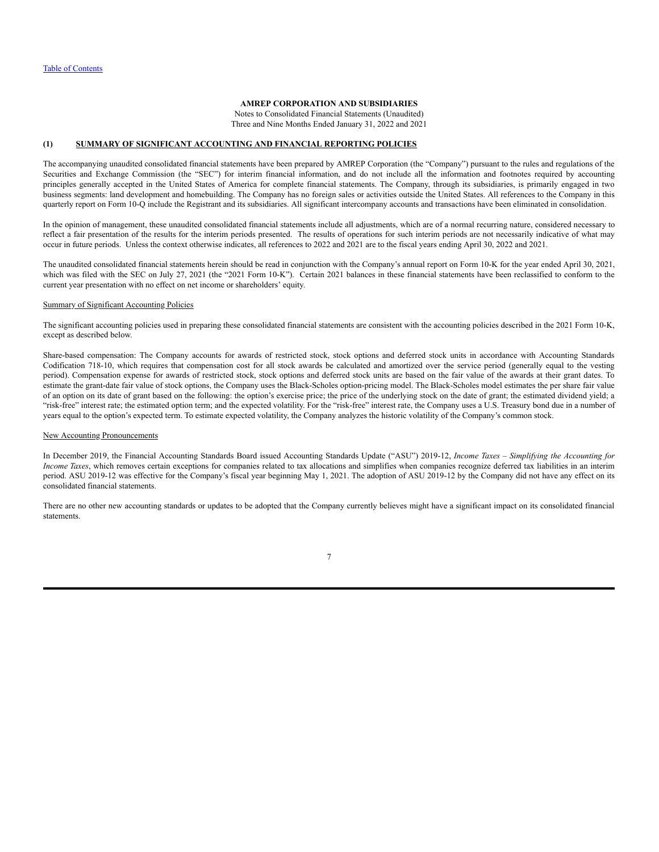### **AMREP CORPORATION AND SUBSIDIARIES**

Notes to Consolidated Financial Statements (Unaudited) Three and Nine Months Ended January 31, 2022 and 2021

#### <span id="page-7-0"></span>**(1) SUMMARY OF SIGNIFICANT ACCOUNTING AND FINANCIAL REPORTING POLICIES**

The accompanying unaudited consolidated financial statements have been prepared by AMREP Corporation (the "Company") pursuant to the rules and regulations of the Securities and Exchange Commission (the "SEC") for interim financial information, and do not include all the information and footnotes required by accounting principles generally accepted in the United States of America for complete financial statements. The Company, through its subsidiaries, is primarily engaged in two business segments: land development and homebuilding. The Company has no foreign sales or activities outside the United States. All references to the Company in this quarterly report on Form 10-Q include the Registrant and its subsidiaries. All significant intercompany accounts and transactions have been eliminated in consolidation.

In the opinion of management, these unaudited consolidated financial statements include all adjustments, which are of a normal recurring nature, considered necessary to reflect a fair presentation of the results for the interim periods presented. The results of operations for such interim periods are not necessarily indicative of what may occur in future periods. Unless the context otherwise indicates, all references to 2022 and 2021 are to the fiscal years ending April 30, 2022 and 2021.

The unaudited consolidated financial statements herein should be read in conjunction with the Company's annual report on Form 10-K for the year ended April 30, 2021, which was filed with the SEC on July 27, 2021 (the "2021 Form 10-K"). Certain 2021 balances in these financial statements have been reclassified to conform to the current year presentation with no effect on net income or shareholders' equity.

#### Summary of Significant Accounting Policies

The significant accounting policies used in preparing these consolidated financial statements are consistent with the accounting policies described in the 2021 Form 10-K, except as described below.

Share-based compensation: The Company accounts for awards of restricted stock, stock options and deferred stock units in accordance with Accounting Standards Codification 718-10, which requires that compensation cost for all stock awards be calculated and amortized over the service period (generally equal to the vesting period). Compensation expense for awards of restricted stock, stock options and deferred stock units are based on the fair value of the awards at their grant dates. To estimate the grant-date fair value of stock options, the Company uses the Black-Scholes option-pricing model. The Black-Scholes model estimates the per share fair value of an option on its date of grant based on the following: the option's exercise price; the price of the underlying stock on the date of grant; the estimated dividend yield; a "risk-free" interest rate; the estimated option term; and the expected volatility. For the "risk-free" interest rate, the Company uses a U.S. Treasury bond due in a number of years equal to the option's expected term. To estimate expected volatility, the Company analyzes the historic volatility of the Company's common stock.

#### New Accounting Pronouncements

In December 2019, the Financial Accounting Standards Board issued Accounting Standards Update ("ASU") 2019-12, *Income Taxes – Simplifying the Accounting for Income Taxes*, which removes certain exceptions for companies related to tax allocations and simplifies when companies recognize deferred tax liabilities in an interim period. ASU 2019-12 was effective for the Company's fiscal year beginning May 1, 2021. The adoption of ASU 2019-12 by the Company did not have any effect on its consolidated financial statements.

There are no other new accounting standards or updates to be adopted that the Company currently believes might have a significant impact on its consolidated financial statements.

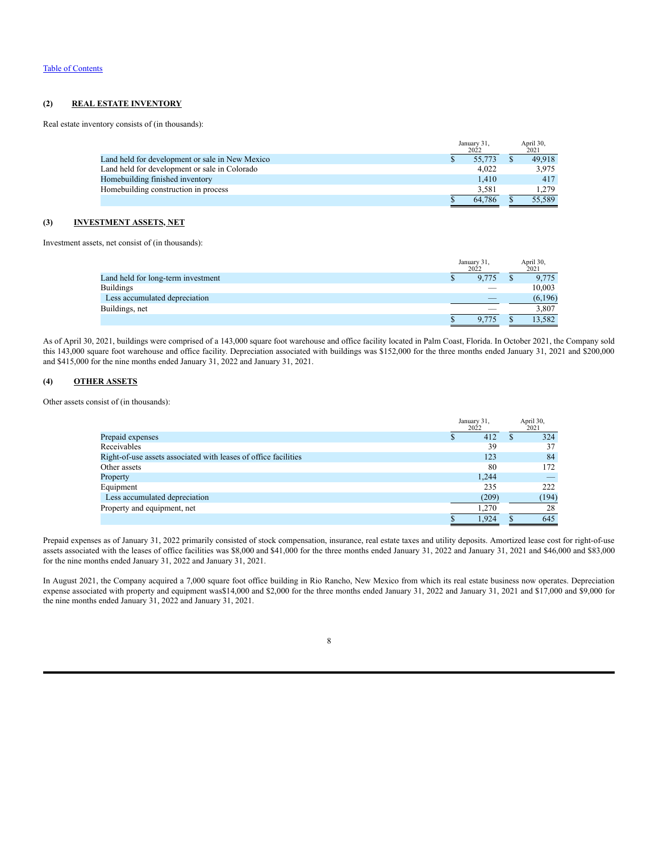#### **(2) REAL ESTATE INVENTORY**

Real estate inventory consists of (in thousands):

|                                                 | January 31.<br>2022 |        | April 30,<br>2021 |
|-------------------------------------------------|---------------------|--------|-------------------|
| Land held for development or sale in New Mexico |                     | 55,773 | 49.918            |
| Land held for development or sale in Colorado   |                     | 4.022  | 3.975             |
| Homebuilding finished inventory                 |                     | 1.410  | 417               |
| Homebuilding construction in process            |                     | 3.581  | 1.279             |
|                                                 |                     | 64.786 | 55.589            |

### **(3) INVESTMENT ASSETS, NET**

Investment assets, net consist of (in thousands):

|                                    |  | January 31,<br>2022 | April 30,<br>2021 |
|------------------------------------|--|---------------------|-------------------|
| Land held for long-term investment |  | 9.775               | 9,775             |
| <b>Buildings</b>                   |  |                     | 10,003            |
| Less accumulated depreciation      |  |                     | (6, 196)          |
| Buildings, net                     |  |                     | 3,807             |
|                                    |  |                     | 13.582            |

As of April 30, 2021, buildings were comprised of a 143,000 square foot warehouse and office facility located in Palm Coast, Florida. In October 2021, the Company sold this 143,000 square foot warehouse and office facility. Depreciation associated with buildings was \$152,000 for the three months ended January 31, 2021 and \$200,000 and \$415,000 for the nine months ended January 31, 2022 and January 31, 2021.

#### **(4) OTHER ASSETS**

Other assets consist of (in thousands):

|                                                                 | January 31,<br>2022 | April 30,<br>2021 |
|-----------------------------------------------------------------|---------------------|-------------------|
| Prepaid expenses                                                | 412                 | 324               |
| Receivables                                                     | 39                  |                   |
| Right-of-use assets associated with leases of office facilities | 123                 | 84                |
| Other assets                                                    | 80                  | 172               |
| Property                                                        | 1.244               |                   |
| Equipment                                                       | 235                 | 222               |
| Less accumulated depreciation                                   | (209)               | (194)             |
| Property and equipment, net                                     | 1.270               | 28                |
|                                                                 | 1.924               | 645               |

Prepaid expenses as of January 31, 2022 primarily consisted of stock compensation, insurance, real estate taxes and utility deposits. Amortized lease cost for right-of-use assets associated with the leases of office facilities was \$8,000 and \$41,000 for the three months ended January 31, 2022 and January 31, 2021 and \$46,000 and \$83,000 for the nine months ended January 31, 2022 and January 31, 2021.

In August 2021, the Company acquired a 7,000 square foot office building in Rio Rancho, New Mexico from which its real estate business now operates. Depreciation expense associated with property and equipment was\$14,000 and \$2,000 for the three months ended January 31, 2022 and January 31, 2021 and \$17,000 and \$9,000 for the nine months ended January 31, 2022 and January 31, 2021.

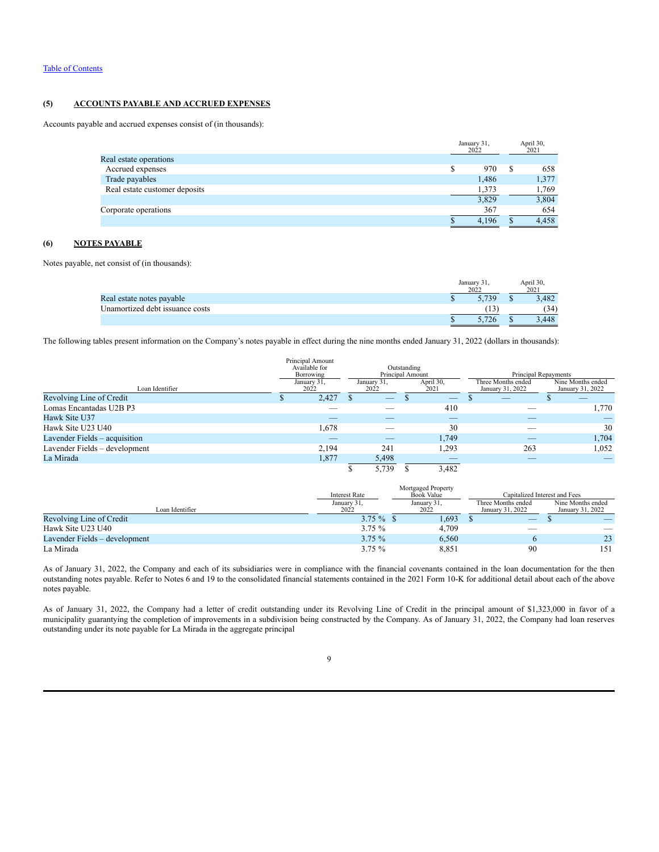### **(5) ACCOUNTS PAYABLE AND ACCRUED EXPENSES**

Accounts payable and accrued expenses consist of (in thousands):

|                               |   | January 31,<br>2022 |   | April 30,<br>2021 |
|-------------------------------|---|---------------------|---|-------------------|
| Real estate operations        |   |                     |   |                   |
| Accrued expenses              | S | 970                 | S | 658               |
| Trade payables                |   | 1,486               |   | 1,377             |
| Real estate customer deposits |   | 1,373               |   | 1,769             |
|                               |   | 3,829               |   | 3,804             |
| Corporate operations          |   | 367                 |   | 654               |
|                               |   | 4.196               |   | 4,458             |

### **(6) NOTES PAYABLE**

Notes payable, net consist of (in thousands):

|                                 | January 31<br>2022 | April 30.<br>2021 |
|---------------------------------|--------------------|-------------------|
| Real estate notes payable       |                    | 3.482             |
| Unamortized debt issuance costs |                    | (34)              |
|                                 |                    | 3.448             |

The following tables present information on the Company's notes payable in effect during the nine months ended January 31, 2022 (dollars in thousands):

|                               | Principal Amount |                               |             |       |             |       |                      |     |  |                   |  |
|-------------------------------|------------------|-------------------------------|-------------|-------|-------------|-------|----------------------|-----|--|-------------------|--|
|                               | Available for    |                               |             |       | Outstanding |       |                      |     |  |                   |  |
|                               |                  | Principal Amount<br>Borrowing |             |       |             |       | Principal Repayments |     |  |                   |  |
|                               | January 31,      |                               | January 31, |       | April 30,   |       | Three Months ended   |     |  | Nine Months ended |  |
| Loan Identifier               | 2022             |                               |             | 2022  |             | 2021  | January 31, 2022     |     |  | January 31, 2022  |  |
| Revolving Line of Credit      |                  | 2,427                         |             |       |             |       | __                   |     |  |                   |  |
| Lomas Encantadas U2B P3       |                  |                               |             |       |             | 410   |                      |     |  | 1,770             |  |
| Hawk Site U37                 |                  |                               |             |       |             |       |                      |     |  |                   |  |
| Hawk Site U23 U40             |                  | 1,678                         |             |       |             | 30    |                      |     |  | 30                |  |
| Lavender Fields – acquisition |                  |                               |             |       |             | 1,749 |                      |     |  | 1,704             |  |
| Lavender Fields - development |                  | 2.194                         |             | 241   |             | 1,293 |                      | 263 |  | 1,052             |  |
| La Mirada                     |                  | 1,877                         |             | 5,498 |             | __    |                      |     |  |                   |  |
|                               |                  |                               |             | 5.739 |             | 3,482 |                      |     |  |                   |  |

|                               | Mortgaged Property   |             |                               |                   |  |  |  |  |  |  |
|-------------------------------|----------------------|-------------|-------------------------------|-------------------|--|--|--|--|--|--|
|                               | <b>Interest Rate</b> | Book Value  | Capitalized Interest and Fees |                   |  |  |  |  |  |  |
|                               | January 31,          | January 31. | Three Months ended            | Nine Months ended |  |  |  |  |  |  |
| Loan Identifier               | 2022                 | 2022        | January 31, 2022              | January 31, 2022  |  |  |  |  |  |  |
| Revolving Line of Credit      | $3.75 \%$ \$         | 1,693       | $\overline{\phantom{a}}$      |                   |  |  |  |  |  |  |
| Hawk Site U23 U40             | 3.75%                | 4.709       |                               |                   |  |  |  |  |  |  |
| Lavender Fields – development | 3.75%                | 6.560       |                               | 23                |  |  |  |  |  |  |
| La Mirada                     | 3.75%                | 8.851       | 90                            | 151               |  |  |  |  |  |  |

As of January 31, 2022, the Company and each of its subsidiaries were in compliance with the financial covenants contained in the loan documentation for the then outstanding notes payable. Refer to Notes 6 and 19 to the consolidated financial statements contained in the 2021 Form 10-K for additional detail about each of the above notes payable.

As of January 31, 2022, the Company had a letter of credit outstanding under its Revolving Line of Credit in the principal amount of \$1,323,000 in favor of a municipality guarantying the completion of improvements in a subdivision being constructed by the Company. As of January 31, 2022, the Company had loan reserves outstanding under its note payable for La Mirada in the aggregate principal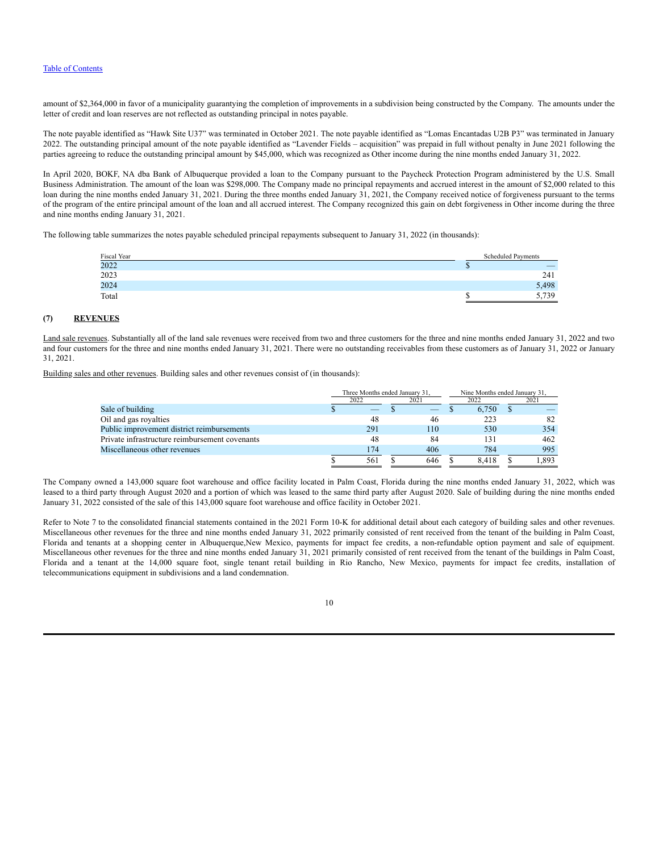amount of \$2,364,000 in favor of a municipality guarantying the completion of improvements in a subdivision being constructed by the Company. The amounts under the letter of credit and loan reserves are not reflected as outstanding principal in notes payable.

The note payable identified as "Hawk Site U37" was terminated in October 2021. The note payable identified as "Lomas Encantadas U2B P3" was terminated in January 2022. The outstanding principal amount of the note payable identified as "Lavender Fields – acquisition" was prepaid in full without penalty in June 2021 following the parties agreeing to reduce the outstanding principal amount by \$45,000, which was recognized as Other income during the nine months ended January 31, 2022.

In April 2020, BOKF, NA dba Bank of Albuquerque provided a loan to the Company pursuant to the Paycheck Protection Program administered by the U.S. Small Business Administration. The amount of the loan was \$298,000. The Company made no principal repayments and accrued interest in the amount of \$2,000 related to this loan during the nine months ended January 31, 2021. During the three months ended January 31, 2021, the Company received notice of forgiveness pursuant to the terms of the program of the entire principal amount of the loan and all accrued interest. The Company recognized this gain on debt forgiveness in Other income during the three and nine months ending January 31, 2021.

The following table summarizes the notes payable scheduled principal repayments subsequent to January 31, 2022 (in thousands):

| Fiscal Year | <b>Scheduled Payments</b> |
|-------------|---------------------------|
| 2022        | ۰D                        |
| 2023        | 241                       |
| 2024        | 5,498                     |
| Total       | 5,739                     |

### **(7) REVENUES**

Land sale revenues. Substantially all of the land sale revenues were received from two and three customers for the three and nine months ended January 31, 2022 and two and four customers for the three and nine months ended January 31, 2021. There were no outstanding receivables from these customers as of January 31, 2022 or January 31, 2021.

Building sales and other revenues. Building sales and other revenues consist of (in thousands):

|                                                | Three Months ended January 31. |  | Nine Months ended January 31. |  |       |  |       |  |  |
|------------------------------------------------|--------------------------------|--|-------------------------------|--|-------|--|-------|--|--|
|                                                | 2022                           |  | 2021                          |  | 2022  |  | 2021  |  |  |
| Sale of building                               |                                |  |                               |  | 6.750 |  |       |  |  |
| Oil and gas royalties                          | 48                             |  | 46                            |  | 223   |  |       |  |  |
| Public improvement district reimbursements     | 291                            |  | 110                           |  | 530   |  | 354   |  |  |
| Private infrastructure reimbursement covenants | 48                             |  | 84                            |  | 131   |  | 462   |  |  |
| Miscellaneous other revenues                   | 174                            |  | 406                           |  | 784   |  | 995   |  |  |
|                                                | 561                            |  | 646                           |  | 8.418 |  | 1.893 |  |  |

The Company owned a 143,000 square foot warehouse and office facility located in Palm Coast, Florida during the nine months ended January 31, 2022, which was leased to a third party through August 2020 and a portion of which was leased to the same third party after August 2020. Sale of building during the nine months ended January 31, 2022 consisted of the sale of this 143,000 square foot warehouse and office facility in October 2021.

Refer to Note 7 to the consolidated financial statements contained in the 2021 Form 10-K for additional detail about each category of building sales and other revenues. Miscellaneous other revenues for the three and nine months ended January 31, 2022 primarily consisted of rent received from the tenant of the building in Palm Coast, Florida and tenants at a shopping center in Albuquerque,New Mexico, payments for impact fee credits, a non-refundable option payment and sale of equipment. Miscellaneous other revenues for the three and nine months ended January 31, 2021 primarily consisted of rent received from the tenant of the buildings in Palm Coast, Florida and a tenant at the 14,000 square foot, single tenant retail building in Rio Rancho, New Mexico, payments for impact fee credits, installation of telecommunications equipment in subdivisions and a land condemnation.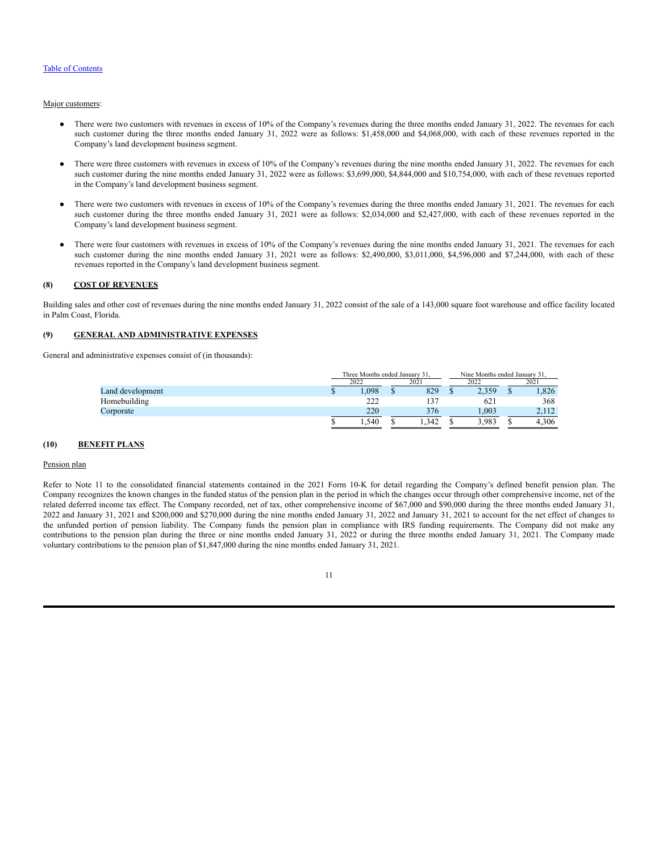#### Major customers:

- There were two customers with revenues in excess of 10% of the Company's revenues during the three months ended January 31, 2022. The revenues for each such customer during the three months ended January 31, 2022 were as follows: \$1,458,000 and \$4,068,000, with each of these revenues reported in the Company's land development business segment.
- There were three customers with revenues in excess of 10% of the Company's revenues during the nine months ended January 31, 2022. The revenues for each such customer during the nine months ended January 31, 2022 were as follows: \$3,699,000, \$4,844,000 and \$10,754,000, with each of these revenues reported in the Company's land development business segment.
- There were two customers with revenues in excess of 10% of the Company's revenues during the three months ended January 31, 2021. The revenues for each such customer during the three months ended January 31, 2021 were as follows: \$2,034,000 and \$2,427,000, with each of these revenues reported in the Company's land development business segment.
- There were four customers with revenues in excess of 10% of the Company's revenues during the nine months ended January 31, 2021. The revenues for each such customer during the nine months ended January 31, 2021 were as follows: \$2,490,000, \$3,011,000, \$4,596,000 and \$7,244,000, with each of these revenues reported in the Company's land development business segment.

### **(8) COST OF REVENUES**

Building sales and other cost of revenues during the nine months ended January 31, 2022 consist of the sale of a 143,000 square foot warehouse and office facility located in Palm Coast, Florida.

### **(9) GENERAL AND ADMINISTRATIVE EXPENSES**

General and administrative expenses consist of (in thousands):

|                  | Three Months ended January 31. |       |  | Nine Months ended January 31. |  |       |  |  |
|------------------|--------------------------------|-------|--|-------------------------------|--|-------|--|--|
|                  | 2022                           | 2021  |  | 2022                          |  | 2021  |  |  |
| Land development | .098                           | 829   |  | 250                           |  | .326  |  |  |
| Homebuilding     | າາາ                            |       |  | 621                           |  | 368   |  |  |
| Corporate        | 220                            | 376   |  | 1.003                         |  | 2.112 |  |  |
|                  | 1.540                          | 1.342 |  | 3.983                         |  | 4,306 |  |  |

#### **(10) BENEFIT PLANS**

#### Pension plan

Refer to Note 11 to the consolidated financial statements contained in the 2021 Form 10-K for detail regarding the Company's defined benefit pension plan. The Company recognizes the known changes in the funded status of the pension plan in the period in which the changes occur through other comprehensive income, net of the related deferred income tax effect. The Company recorded, net of tax, other comprehensive income of \$67,000 and \$90,000 during the three months ended January 31, 2022 and January 31, 2021 and \$200,000 and \$270,000 during the nine months ended January 31, 2022 and January 31, 2021 to account for the net effect of changes to the unfunded portion of pension liability. The Company funds the pension plan in compliance with IRS funding requirements. The Company did not make any contributions to the pension plan during the three or nine months ended January 31, 2022 or during the three months ended January 31, 2021. The Company made voluntary contributions to the pension plan of \$1,847,000 during the nine months ended January 31, 2021.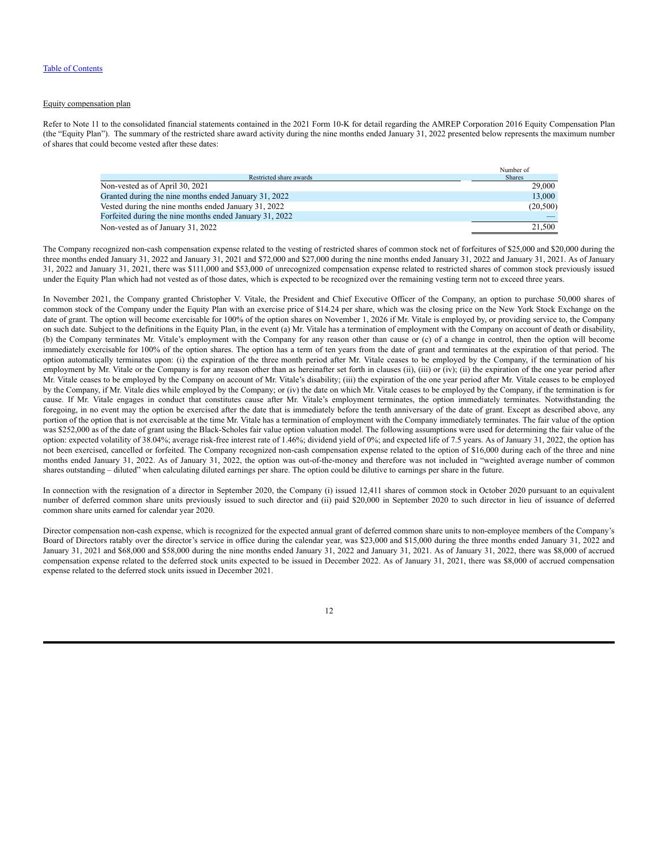#### Equity compensation plan

Refer to Note 11 to the consolidated financial statements contained in the 2021 Form 10-K for detail regarding the AMREP Corporation 2016 Equity Compensation Plan (the "Equity Plan"). The summary of the restricted share award activity during the nine months ended January 31, 2022 presented below represents the maximum number of shares that could become vested after these dates:

|                                                         | Number of     |
|---------------------------------------------------------|---------------|
| Restricted share awards                                 | <b>Shares</b> |
| Non-vested as of April 30, 2021                         | 29,000        |
| Granted during the nine months ended January 31, 2022   | 13,000        |
| Vested during the nine months ended January 31, 2022    | (20,500)      |
| Forfeited during the nine months ended January 31, 2022 |               |
| Non-vested as of January 31, 2022                       | 21,500        |

The Company recognized non-cash compensation expense related to the vesting of restricted shares of common stock net of forfeitures of \$25,000 and \$20,000 during the three months ended January 31, 2022 and January 31, 2021 and \$72,000 and \$27,000 during the nine months ended January 31, 2022 and January 31, 2021. As of January 31, 2022 and January 31, 2021, there was \$111,000 and \$53,000 of unrecognized compensation expense related to restricted shares of common stock previously issued under the Equity Plan which had not vested as of those dates, which is expected to be recognized over the remaining vesting term not to exceed three years.

In November 2021, the Company granted Christopher V. Vitale, the President and Chief Executive Officer of the Company, an option to purchase 50,000 shares of common stock of the Company under the Equity Plan with an exercise price of \$14.24 per share, which was the closing price on the New York Stock Exchange on the date of grant. The option will become exercisable for 100% of the option shares on November 1, 2026 if Mr. Vitale is employed by, or providing service to, the Company on such date. Subject to the definitions in the Equity Plan, in the event (a) Mr. Vitale has a termination of employment with the Company on account of death or disability, (b) the Company terminates Mr. Vitale's employment with the Company for any reason other than cause or (c) of a change in control, then the option will become immediately exercisable for 100% of the option shares. The option has a term of ten years from the date of grant and terminates at the expiration of that period. The option automatically terminates upon: (i) the expiration of the three month period after Mr. Vitale ceases to be employed by the Company, if the termination of his employment by Mr. Vitale or the Company is for any reason other than as hereinafter set forth in clauses (ii), (iii) or (iv); (ii) the expiration of the one year period after Mr. Vitale ceases to be employed by the Company on account of Mr. Vitale's disability; (iii) the expiration of the one year period after Mr. Vitale ceases to be employed by the Company, if Mr. Vitale dies while employed by the Company; or (iv) the date on which Mr. Vitale ceases to be employed by the Company, if the termination is for cause. If Mr. Vitale engages in conduct that constitutes cause after Mr. Vitale's employment terminates, the option immediately terminates. Notwithstanding the foregoing, in no event may the option be exercised after the date that is immediately before the tenth anniversary of the date of grant. Except as described above, any portion of the option that is not exercisable at the time Mr. Vitale has a termination of employment with the Company immediately terminates. The fair value of the option was \$252,000 as of the date of grant using the Black-Scholes fair value option valuation model. The following assumptions were used for determining the fair value of the option: expected volatility of 38.04%; average risk-free interest rate of 1.46%; dividend yield of 0%; and expected life of 7.5 years. As of January 31, 2022, the option has not been exercised, cancelled or forfeited. The Company recognized non-cash compensation expense related to the option of \$16,000 during each of the three and nine months ended January 31, 2022. As of January 31, 2022, the option was out-of-the-money and therefore was not included in "weighted average number of common shares outstanding – diluted" when calculating diluted earnings per share. The option could be dilutive to earnings per share in the future.

In connection with the resignation of a director in September 2020, the Company (i) issued 12,411 shares of common stock in October 2020 pursuant to an equivalent number of deferred common share units previously issued to such director and (ii) paid \$20,000 in September 2020 to such director in lieu of issuance of deferred common share units earned for calendar year 2020.

Director compensation non-cash expense, which is recognized for the expected annual grant of deferred common share units to non-employee members of the Company's Board of Directors ratably over the director's service in office during the calendar year, was \$23,000 and \$15,000 during the three months ended January 31, 2022 and January 31, 2021 and \$68,000 and \$58,000 during the nine months ended January 31, 2022 and January 31, 2021. As of January 31, 2022, there was \$8,000 of accrued compensation expense related to the deferred stock units expected to be issued in December 2022. As of January 31, 2021, there was \$8,000 of accrued compensation expense related to the deferred stock units issued in December 2021.

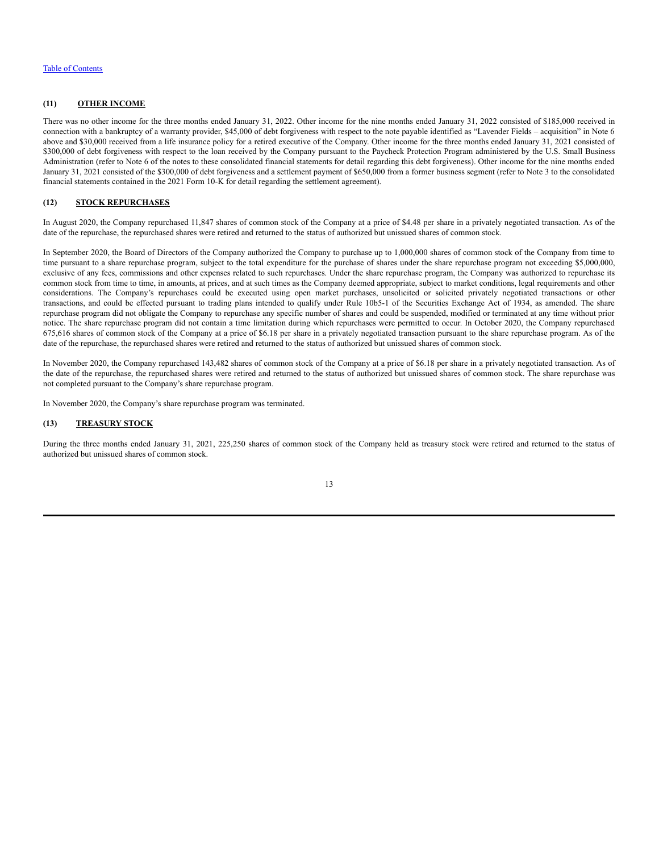### **(11) OTHER INCOME**

There was no other income for the three months ended January 31, 2022. Other income for the nine months ended January 31, 2022 consisted of \$185,000 received in connection with a bankruptcy of a warranty provider, \$45,000 of debt forgiveness with respect to the note payable identified as "Lavender Fields – acquisition" in Note 6 above and \$30,000 received from a life insurance policy for a retired executive of the Company. Other income for the three months ended January 31, 2021 consisted of \$300,000 of debt forgiveness with respect to the loan received by the Company pursuant to the Paycheck Protection Program administered by the U.S. Small Business Administration (refer to Note 6 of the notes to these consolidated financial statements for detail regarding this debt forgiveness). Other income for the nine months ended January 31, 2021 consisted of the \$300,000 of debt forgiveness and a settlement payment of \$650,000 from a former business segment (refer to Note 3 to the consolidated financial statements contained in the 2021 Form 10-K for detail regarding the settlement agreement).

### **(12) STOCK REPURCHASES**

In August 2020, the Company repurchased 11,847 shares of common stock of the Company at a price of \$4.48 per share in a privately negotiated transaction. As of the date of the repurchase, the repurchased shares were retired and returned to the status of authorized but unissued shares of common stock.

In September 2020, the Board of Directors of the Company authorized the Company to purchase up to 1,000,000 shares of common stock of the Company from time to time pursuant to a share repurchase program, subject to the total expenditure for the purchase of shares under the share repurchase program not exceeding \$5,000,000, exclusive of any fees, commissions and other expenses related to such repurchases. Under the share repurchase program, the Company was authorized to repurchase its common stock from time to time, in amounts, at prices, and at such times as the Company deemed appropriate, subject to market conditions, legal requirements and other considerations. The Company's repurchases could be executed using open market purchases, unsolicited or solicited privately negotiated transactions or other transactions, and could be effected pursuant to trading plans intended to qualify under Rule 10b5-1 of the Securities Exchange Act of 1934, as amended. The share repurchase program did not obligate the Company to repurchase any specific number of shares and could be suspended, modified or terminated at any time without prior notice. The share repurchase program did not contain a time limitation during which repurchases were permitted to occur. In October 2020, the Company repurchased 675,616 shares of common stock of the Company at a price of \$6.18 per share in a privately negotiated transaction pursuant to the share repurchase program. As of the date of the repurchase, the repurchased shares were retired and returned to the status of authorized but unissued shares of common stock.

In November 2020, the Company repurchased 143,482 shares of common stock of the Company at a price of \$6.18 per share in a privately negotiated transaction. As of the date of the repurchase, the repurchased shares were retired and returned to the status of authorized but unissued shares of common stock. The share repurchase was not completed pursuant to the Company's share repurchase program.

In November 2020, the Company's share repurchase program was terminated.

### **(13) TREASURY STOCK**

During the three months ended January 31, 2021, 225,250 shares of common stock of the Company held as treasury stock were retired and returned to the status of authorized but unissued shares of common stock.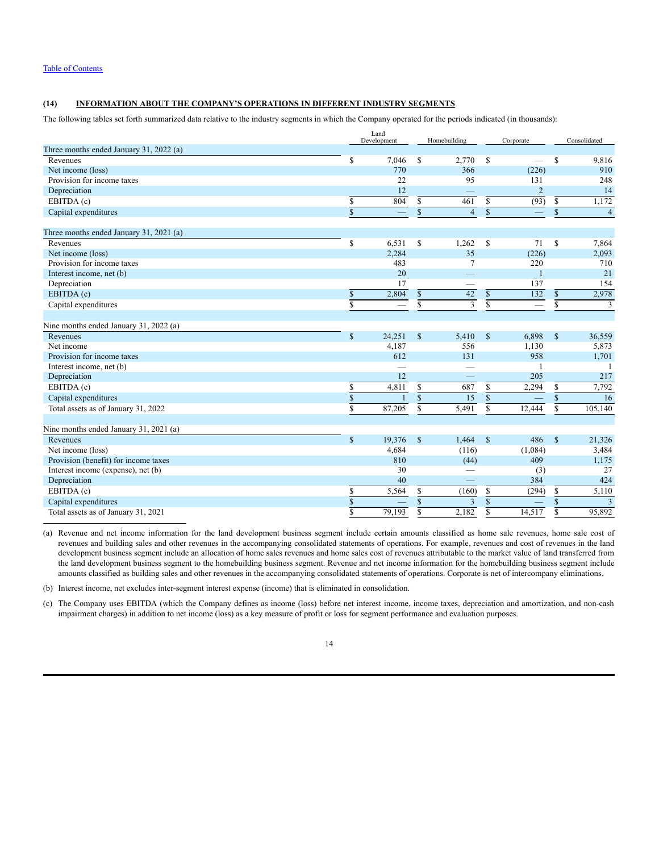# **(14) INFORMATION ABOUT THE COMPANY'S OPERATIONS IN DIFFERENT INDUSTRY SEGMENTS**

The following tables set forth summarized data relative to the industry segments in which the Company operated for the periods indicated (in thousands):

|                                         |                         | Land<br>Development |                         | Homebuilding             |                         | Corporate                |                         | Consolidated    |
|-----------------------------------------|-------------------------|---------------------|-------------------------|--------------------------|-------------------------|--------------------------|-------------------------|-----------------|
| Three months ended January 31, 2022 (a) |                         |                     |                         |                          |                         |                          |                         |                 |
| Revenues                                | \$                      | 7,046               | \$                      | 2,770                    | \$                      | $\overline{\phantom{0}}$ | \$                      | 9,816           |
| Net income (loss)                       |                         | 770                 |                         | 366                      |                         | (226)                    |                         | 910             |
| Provision for income taxes              |                         | 22                  |                         | 95                       |                         | 131                      |                         | 248             |
| Depreciation                            |                         | 12                  |                         |                          |                         | $\overline{c}$           |                         | 14              |
| EBITDA (c)                              | \$                      | 804                 | \$                      | 461                      | \$                      | (93)                     | \$                      | 1,172           |
| Capital expenditures                    | $\overline{s}$          |                     | $\overline{\mathbb{S}}$ | $\overline{4}$           | $\overline{\mathbb{S}}$ |                          | $\overline{\mathbb{S}}$ | $\overline{4}$  |
| Three months ended January 31, 2021 (a) |                         |                     |                         |                          |                         |                          |                         |                 |
| Revenues                                | \$                      | 6,531               | \$                      | 1,262                    | \$                      | 71                       | \$                      | 7,864           |
| Net income (loss)                       |                         | 2,284               |                         | 35                       |                         | (226)                    |                         | 2,093           |
| Provision for income taxes              |                         | 483                 |                         | 7                        |                         | 220                      |                         | 710             |
| Interest income, net (b)                |                         | 20                  |                         |                          |                         | $\mathbf{1}$             |                         | 21              |
| Depreciation                            |                         | 17                  |                         |                          |                         | 137                      |                         | 154             |
| EBITDA (c)                              | \$                      | 2,804               | \$                      | 42                       | \$                      | 132                      | \$                      | 2,978           |
| Capital expenditures                    | \$                      |                     | \$                      | $\mathfrak{Z}$           | \$                      |                          | \$                      | $\overline{3}$  |
| Nine months ended January 31, 2022 (a)  |                         |                     |                         |                          |                         |                          |                         |                 |
| Revenues                                | $\mathbb{S}$            | 24,251              | $\mathsf{\$}$           | 5,410                    | \$                      | 6,898                    | $\mathsf{\$}$           |                 |
| Net income                              |                         | 4,187               |                         | 556                      |                         | 1,130                    |                         | 36,559<br>5,873 |
| Provision for income taxes              |                         | 612                 |                         | 131                      |                         | 958                      |                         | 1,701           |
| Interest income, net (b)                |                         |                     |                         |                          |                         |                          |                         | -1              |
| Depreciation                            |                         | 12                  |                         | $\overline{\phantom{a}}$ |                         | 205                      |                         | 217             |
| EBITDA (c)                              | \$                      | 4,811               | \$                      | 687                      | S.                      | 2,294                    | \$                      | 7,792           |
| Capital expenditures                    | $\overline{\mathbb{S}}$ |                     | $\overline{\mathbb{S}}$ | 15                       | $\overline{\$}$         |                          | $\overline{\$}$         | 16              |
| Total assets as of January 31, 2022     | \$                      | 87,205              | \$                      | 5,491                    | $\mathbf S$             | 12,444                   | \$                      | 105,140         |
|                                         |                         |                     |                         |                          |                         |                          |                         |                 |
| Nine months ended January 31, 2021 (a)  |                         |                     |                         |                          |                         |                          |                         |                 |
| Revenues                                | $\mathbb{S}$            | 19,376              | $\mathsf{\$}$           | 1,464                    | $\$$                    | 486                      | $\mathsf{\$}$           | 21,326          |
| Net income (loss)                       |                         | 4,684               |                         | (116)                    |                         | (1,084)                  |                         | 3,484           |
| Provision (benefit) for income taxes    |                         | 810                 |                         | (44)                     |                         | 409                      |                         | 1,175           |
| Interest income (expense), net (b)      |                         | 30                  |                         |                          |                         | (3)                      |                         | 27              |
| Depreciation                            |                         | 40                  |                         |                          |                         | 384                      |                         | 424             |
| EBITDA (c)                              | \$                      | 5,564               | \$                      | (160)                    | \$                      | (294)                    | \$                      | 5,110           |
| Capital expenditures                    | $\overline{\mathbb{S}}$ |                     | $\overline{\$}$         | $\overline{3}$           | $\overline{\$}$         |                          | $\overline{\mathbb{S}}$ | $\overline{3}$  |
| Total assets as of January 31, 2021     | S                       | 79,193              | \$                      | 2.182                    | $\mathbf S$             | 14,517                   | \$                      | 95,892          |

(a) Revenue and net income information for the land development business segment include certain amounts classified as home sale revenues, home sale cost of revenues and building sales and other revenues in the accompanying consolidated statements of operations. For example, revenues and cost of revenues in the land development business segment include an allocation of home sales revenues and home sales cost of revenues attributable to the market value of land transferred from the land development business segment to the homebuilding business segment. Revenue and net income information for the homebuilding business segment include amounts classified as building sales and other revenues in the accompanying consolidated statements of operations. Corporate is net of intercompany eliminations.

(b) Interest income, net excludes inter-segment interest expense (income) that is eliminated in consolidation.

(c) The Company uses EBITDA (which the Company defines as income (loss) before net interest income, income taxes, depreciation and amortization, and non-cash impairment charges) in addition to net income (loss) as a key measure of profit or loss for segment performance and evaluation purposes.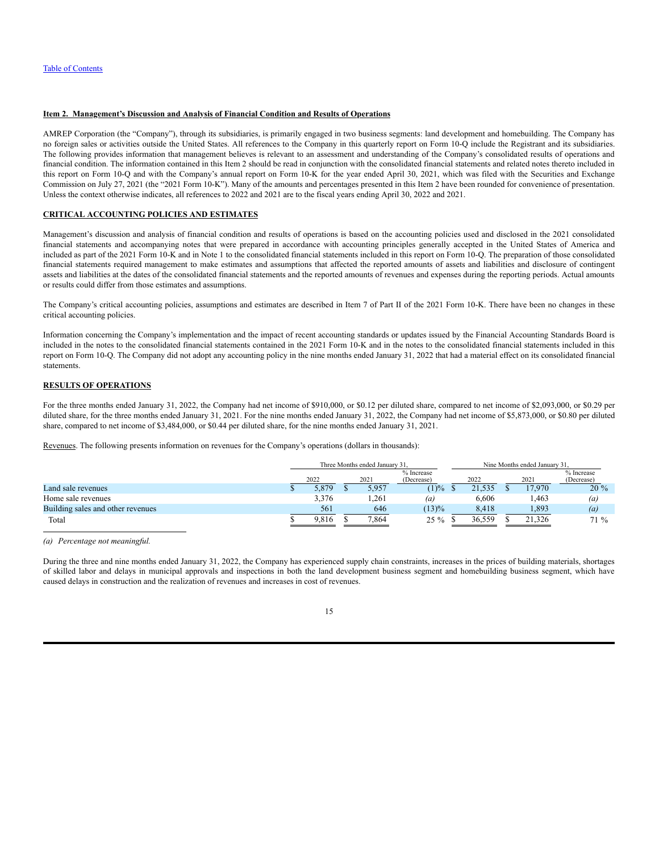#### <span id="page-15-0"></span>**Item 2. Management's Discussion and Analysis of Financial Condition and Results of Operations**

AMREP Corporation (the "Company"), through its subsidiaries, is primarily engaged in two business segments: land development and homebuilding. The Company has no foreign sales or activities outside the United States. All references to the Company in this quarterly report on Form 10-Q include the Registrant and its subsidiaries. The following provides information that management believes is relevant to an assessment and understanding of the Company's consolidated results of operations and financial condition. The information contained in this Item 2 should be read in conjunction with the consolidated financial statements and related notes thereto included in this report on Form 10-Q and with the Company's annual report on Form 10-K for the year ended April 30, 2021, which was filed with the Securities and Exchange Commission on July 27, 2021 (the "2021 Form 10-K"). Many of the amounts and percentages presented in this Item 2 have been rounded for convenience of presentation. Unless the context otherwise indicates, all references to 2022 and 2021 are to the fiscal years ending April 30, 2022 and 2021.

#### **CRITICAL ACCOUNTING POLICIES AND ESTIMATES**

Management's discussion and analysis of financial condition and results of operations is based on the accounting policies used and disclosed in the 2021 consolidated financial statements and accompanying notes that were prepared in accordance with accounting principles generally accepted in the United States of America and included as part of the 2021 Form 10-K and in Note 1 to the consolidated financial statements included in this report on Form 10-Q. The preparation of those consolidated financial statements required management to make estimates and assumptions that affected the reported amounts of assets and liabilities and disclosure of contingent assets and liabilities at the dates of the consolidated financial statements and the reported amounts of revenues and expenses during the reporting periods. Actual amounts or results could differ from those estimates and assumptions.

The Company's critical accounting policies, assumptions and estimates are described in Item 7 of Part II of the 2021 Form 10-K. There have been no changes in these critical accounting policies.

Information concerning the Company's implementation and the impact of recent accounting standards or updates issued by the Financial Accounting Standards Board is included in the notes to the consolidated financial statements contained in the 2021 Form 10-K and in the notes to the consolidated financial statements included in this report on Form 10-Q. The Company did not adopt any accounting policy in the nine months ended January 31, 2022 that had a material effect on its consolidated financial statements.

#### **RESULTS OF OPERATIONS**

For the three months ended January 31, 2022, the Company had net income of \$910,000, or \$0.12 per diluted share, compared to net income of \$2,093,000, or \$0.29 per diluted share, for the three months ended January 31, 2021. For the nine months ended January 31, 2022, the Company had net income of \$5,873,000, or \$0.80 per diluted share, compared to net income of \$3,484,000, or \$0.44 per diluted share, for the nine months ended January 31, 2021.

Revenues. The following presents information on revenues for the Company's operations (dollars in thousands):

|                                   |       | Three Months ended January 31. |                          | Nine Months ended January 31. |  |        |                          |  |  |  |
|-----------------------------------|-------|--------------------------------|--------------------------|-------------------------------|--|--------|--------------------------|--|--|--|
|                                   | 2022  | 2021                           | % Increase<br>(Decrease) | 2022                          |  | 2021   | % Increase<br>(Decrease) |  |  |  |
| Land sale revenues                | 5,879 | 5,957                          | (1)%                     | 21,535                        |  | 17.970 | $20\%$                   |  |  |  |
| Home sale revenues                | 3,376 | .261                           | (a)                      | 6,606                         |  | .463   | (a)                      |  |  |  |
| Building sales and other revenues | 561   | 646                            | (13)%                    | 8.418                         |  | 1,893  | $\left(a\right)$         |  |  |  |
| Total                             | 9.816 | 7,864                          | $25\%$                   | 36.559                        |  | 21.326 | 71 %                     |  |  |  |

*(a) Percentage not meaningful.*

During the three and nine months ended January 31, 2022, the Company has experienced supply chain constraints, increases in the prices of building materials, shortages of skilled labor and delays in municipal approvals and inspections in both the land development business segment and homebuilding business segment, which have caused delays in construction and the realization of revenues and increases in cost of revenues.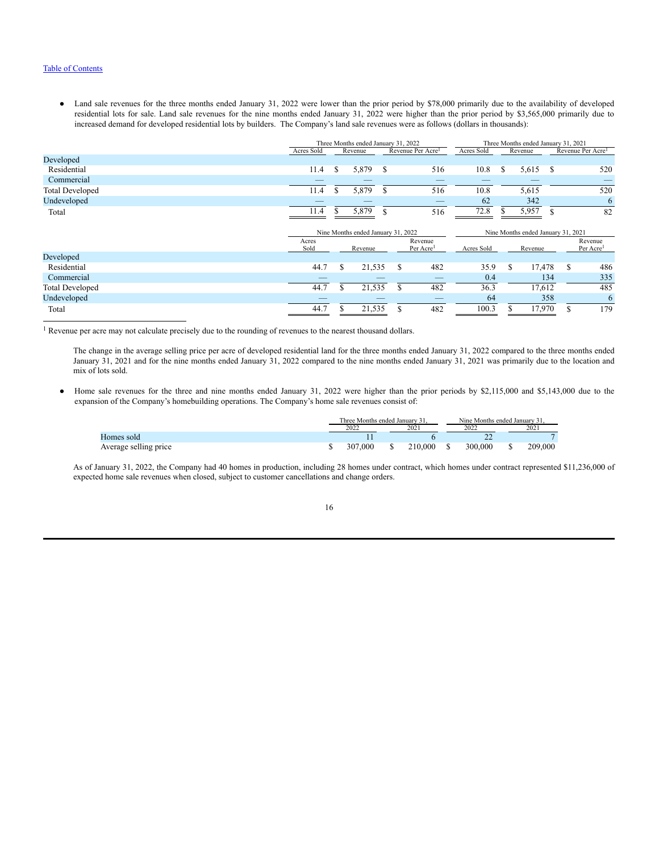● Land sale revenues for the three months ended January 31, 2022 were lower than the prior period by \$78,000 primarily due to the availability of developed residential lots for sale. Land sale revenues for the nine months ended January 31, 2022 were higher than the prior period by \$3,565,000 primarily due to increased demand for developed residential lots by builders. The Company's land sale revenues were as follows (dollars in thousands):

|                        |               |    | Three Months ended January 31, 2022 |               |                                  | Three Months ended January 31, 2021 |         |                                    |                               |                                  |  |  |
|------------------------|---------------|----|-------------------------------------|---------------|----------------------------------|-------------------------------------|---------|------------------------------------|-------------------------------|----------------------------------|--|--|
|                        | Acres Sold    |    | Revenue                             |               | Revenue Per Acre <sup>1</sup>    | Acres Sold                          | Revenue |                                    | Revenue Per Acre <sup>1</sup> |                                  |  |  |
| Developed              |               |    |                                     |               |                                  |                                     |         |                                    |                               |                                  |  |  |
| Residential            | 11.4          | \$ | 5,879                               | <sup>\$</sup> | 516                              | 10.8                                | S       | 5,615                              | S                             | 520                              |  |  |
| Commercial             |               |    |                                     |               |                                  |                                     |         |                                    |                               |                                  |  |  |
| <b>Total Developed</b> | 11.4          |    | 5,879                               |               | 516                              | 10.8                                |         | 5,615                              |                               | 520                              |  |  |
| Undeveloped            |               |    |                                     |               |                                  | 62                                  |         | 342                                |                               | 6                                |  |  |
| Total                  | 11.4          | S  | 5,879                               | S             | 516                              | 72.8                                |         | 5,957                              | S                             | 82                               |  |  |
|                        |               |    | Nine Months ended January 31, 2022  |               |                                  |                                     |         | Nine Months ended January 31, 2021 |                               |                                  |  |  |
|                        | Acres<br>Sold |    | Revenue                             |               | Revenue<br>Per Acre <sup>1</sup> | Acres Sold                          |         | Revenue                            |                               | Revenue<br>Per Acre <sup>1</sup> |  |  |
| Developed              |               |    |                                     |               |                                  |                                     |         |                                    |                               |                                  |  |  |
| Residential            | 44.7          | \$ | 21,535                              |               | \$<br>482                        | 35.9                                |         | 17,478<br>\$                       |                               | \$<br>486                        |  |  |
| Commercial             |               |    |                                     |               |                                  | 0.4                                 |         | 134                                |                               | 335                              |  |  |
| <b>Total Developed</b> | 44.7          | S  | 21,535                              |               | 482<br>\$                        | 36.3                                |         | 17,612                             |                               | 485                              |  |  |
| Undeveloped            |               |    |                                     |               |                                  | 64                                  |         | 358                                |                               | 6                                |  |  |
| Total                  | 44.7          | S  | 21,535                              |               | \$<br>482                        | 100.3                               |         | 17,970                             |                               | 179                              |  |  |

<sup>1</sup> Revenue per acre may not calculate precisely due to the rounding of revenues to the nearest thousand dollars.

The change in the average selling price per acre of developed residential land for the three months ended January 31, 2022 compared to the three months ended January 31, 2021 and for the nine months ended January 31, 2022 compared to the nine months ended January 31, 2021 was primarily due to the location and mix of lots sold.

● Home sale revenues for the three and nine months ended January 31, 2022 were higher than the prior periods by \$2,115,000 and \$5,143,000 due to the expansion of the Company's homebuilding operations. The Company's home sale revenues consist of:

|                       | Three Months ended January 31. |     |         | Nine Months ended January 31. |         |  |
|-----------------------|--------------------------------|-----|---------|-------------------------------|---------|--|
|                       | 2022                           | 202 | 2022    | 2021                          |         |  |
| Homes sold            |                                |     |         |                               |         |  |
| Average selling price | 307,000                        |     | 210,000 | 300,000                       | 209,000 |  |

As of January 31, 2022, the Company had 40 homes in production, including 28 homes under contract, which homes under contract represented \$11,236,000 of expected home sale revenues when closed, subject to customer cancellations and change orders.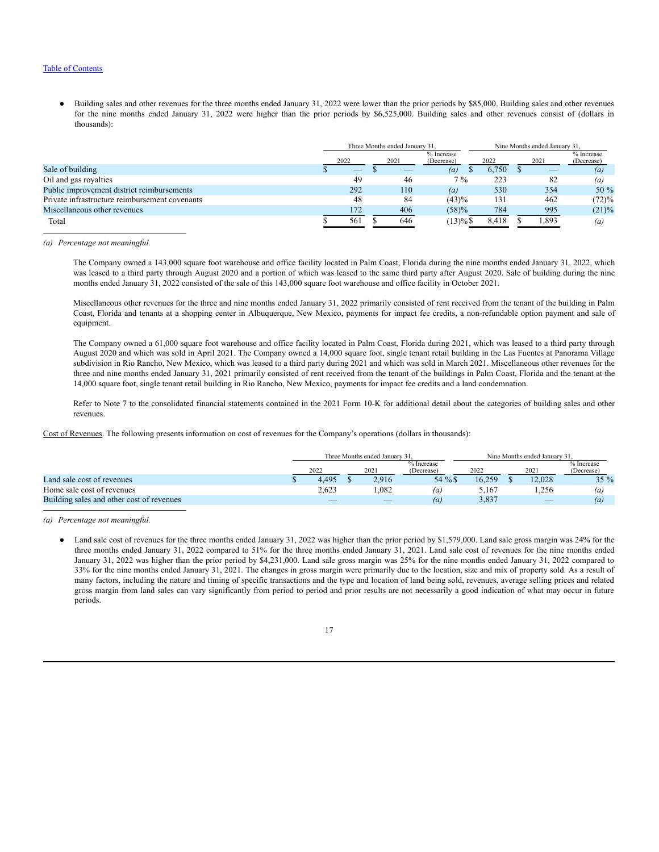● Building sales and other revenues for the three months ended January 31, 2022 were lower than the prior periods by \$85,000. Building sales and other revenues for the nine months ended January 31, 2022 were higher than the prior periods by \$6,525,000. Building sales and other revenues consist of (dollars in thousands):

|                                                |                          |  | Three Months ended January 31. |           | Nine Months ended January 31. |                          |                  |
|------------------------------------------------|--------------------------|--|--------------------------------|-----------|-------------------------------|--------------------------|------------------|
|                                                | 2022<br>2021             |  | % Increase<br>(Decrease)       | 2022      | 2021                          | % Increase<br>(Decrease) |                  |
| Sale of building                               | $\overline{\phantom{a}}$ |  |                                | (a)       | 6.750                         |                          | $\left(a\right)$ |
| Oil and gas royalties                          | 49                       |  | 46                             | $7\%$     | 223                           | 82                       | (a)              |
| Public improvement district reimbursements     | 292                      |  | 110                            | (a)       | 530                           | 354                      | 50 %             |
| Private infrastructure reimbursement covenants | 48                       |  | 84                             | (43)%     | 131                           | 462                      | (72)%            |
| Miscellaneous other revenues                   | 172                      |  | 406                            | (58)%     | 784                           | 995                      | (21)%            |
| Total                                          | 561                      |  | 646                            | $(13) \%$ | 8,418                         | .,893                    | (a)              |

*(a) Percentage not meaningful.*

The Company owned a 143,000 square foot warehouse and office facility located in Palm Coast, Florida during the nine months ended January 31, 2022, which was leased to a third party through August 2020 and a portion of which was leased to the same third party after August 2020. Sale of building during the nine months ended January 31, 2022 consisted of the sale of this 143,000 square foot warehouse and office facility in October 2021.

Miscellaneous other revenues for the three and nine months ended January 31, 2022 primarily consisted of rent received from the tenant of the building in Palm Coast, Florida and tenants at a shopping center in Albuquerque, New Mexico, payments for impact fee credits, a non-refundable option payment and sale of equipment.

The Company owned a 61,000 square foot warehouse and office facility located in Palm Coast, Florida during 2021, which was leased to a third party through August 2020 and which was sold in April 2021. The Company owned a 14,000 square foot, single tenant retail building in the Las Fuentes at Panorama Village subdivision in Rio Rancho, New Mexico, which was leased to a third party during 2021 and which was sold in March 2021. Miscellaneous other revenues for the three and nine months ended January 31, 2021 primarily consisted of rent received from the tenant of the buildings in Palm Coast, Florida and the tenant at the 14,000 square foot, single tenant retail building in Rio Rancho, New Mexico, payments for impact fee credits and a land condemnation.

Refer to Note 7 to the consolidated financial statements contained in the 2021 Form 10-K for additional detail about the categories of building sales and other revenues.

Cost of Revenues. The following presents information on cost of revenues for the Company's operations (dollars in thousands):

|                                           | Three Months ended January 31. |  |                          |                  | Nine Months ended January 31. |            |                                |            |  |
|-------------------------------------------|--------------------------------|--|--------------------------|------------------|-------------------------------|------------|--------------------------------|------------|--|
|                                           | % Increase                     |  |                          |                  |                               | % Increase |                                |            |  |
|                                           | 2022                           |  | 2021                     | (Decrease)       | 2022                          |            | 2021                           | (Decrease) |  |
| Land sale cost of revenues                | 4.495                          |  | 2.916                    | 54 % \$          | 16.259                        |            | 12.028                         | $35 \%$    |  |
| Home sale cost of revenues                | 2.623                          |  | .082                     | (a)              | 5.167                         |            | .256                           | (a)        |  |
| Building sales and other cost of revenues |                                |  | $\overline{\phantom{a}}$ | $\left(a\right)$ | 3,837                         |            | $\overbrace{\hspace{25mm}}^{}$ | (a)        |  |

*(a) Percentage not meaningful.*

Land sale cost of revenues for the three months ended January 31, 2022 was higher than the prior period by \$1,579,000. Land sale gross margin was 24% for the three months ended January 31, 2022 compared to 51% for the three months ended January 31, 2021. Land sale cost of revenues for the nine months ended January 31, 2022 was higher than the prior period by \$4,231,000. Land sale gross margin was 25% for the nine months ended January 31, 2022 compared to 33% for the nine months ended January 31, 2021. The changes in gross margin were primarily due to the location, size and mix of property sold. As a result of many factors, including the nature and timing of specific transactions and the type and location of land being sold, revenues, average selling prices and related gross margin from land sales can vary significantly from period to period and prior results are not necessarily a good indication of what may occur in future periods.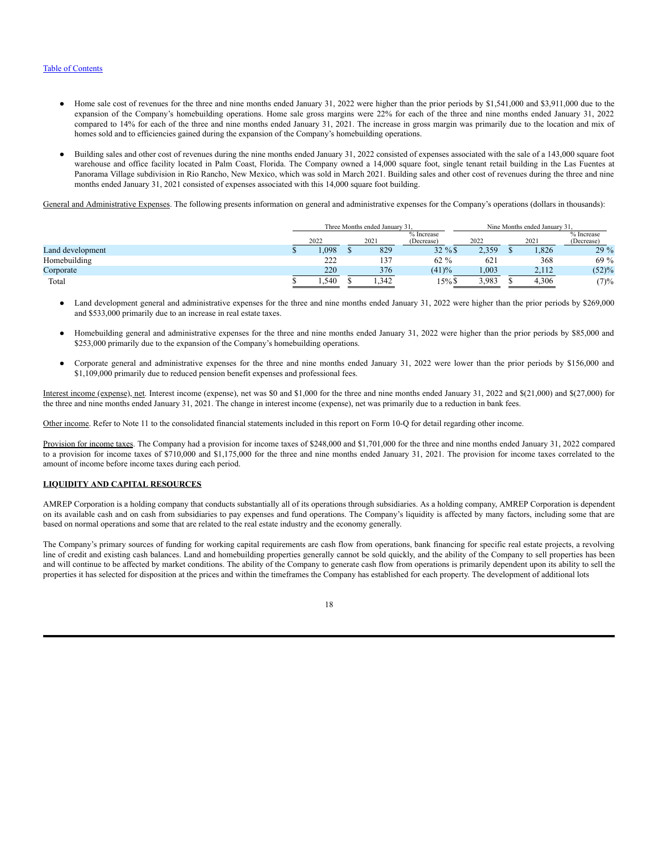- Home sale cost of revenues for the three and nine months ended January 31, 2022 were higher than the prior periods by \$1,541,000 and \$3,911,000 due to the expansion of the Company's homebuilding operations. Home sale gross margins were 22% for each of the three and nine months ended January 31, 2022 compared to 14% for each of the three and nine months ended January 31, 2021. The increase in gross margin was primarily due to the location and mix of homes sold and to efficiencies gained during the expansion of the Company's homebuilding operations.
- Building sales and other cost of revenues during the nine months ended January 31, 2022 consisted of expenses associated with the sale of a 143,000 square foot warehouse and office facility located in Palm Coast, Florida. The Company owned a 14,000 square foot, single tenant retail building in the Las Fuentes at Panorama Village subdivision in Rio Rancho, New Mexico, which was sold in March 2021. Building sales and other cost of revenues during the three and nine months ended January 31, 2021 consisted of expenses associated with this 14,000 square foot building.

General and Administrative Expenses. The following presents information on general and administrative expenses for the Company's operations (dollars in thousands):

|                  | Three Months ended January 31. |       |  |       | Nine Months ended January 31. |            |  |       |            |
|------------------|--------------------------------|-------|--|-------|-------------------------------|------------|--|-------|------------|
|                  | % Increase                     |       |  |       |                               | % Increase |  |       |            |
|                  |                                | 2022  |  | 2021  | (Decrease)                    | 2022       |  | 2021  | (Decrease) |
| Land development |                                | .098  |  | 829   | $32 \%$                       | 2,359      |  | .826  | $29\%$     |
| Homebuilding     |                                | 222   |  | 137   | $62 \%$                       | 621        |  | 368   | 69 %       |
| Corporate        |                                | 220   |  | 376   | (41)%                         | 1,003      |  | 2.112 | (52)%      |
| Total            |                                | 1.540 |  | 1,342 | : 5% \$                       | 3,983      |  | 4,306 | (7)%       |

- Land development general and administrative expenses for the three and nine months ended January 31, 2022 were higher than the prior periods by \$269,000 and \$533,000 primarily due to an increase in real estate taxes.
- Homebuilding general and administrative expenses for the three and nine months ended January 31, 2022 were higher than the prior periods by \$85,000 and \$253,000 primarily due to the expansion of the Company's homebuilding operations.
- Corporate general and administrative expenses for the three and nine months ended January 31, 2022 were lower than the prior periods by \$156,000 and \$1,109,000 primarily due to reduced pension benefit expenses and professional fees.

Interest income (expense), net. Interest income (expense), net was \$0 and \$1,000 for the three and nine months ended January 31, 2022 and \$(21,000) and \$(27,000) for the three and nine months ended January 31, 2021. The change in interest income (expense), net was primarily due to a reduction in bank fees.

Other income. Refer to Note 11 to the consolidated financial statements included in this report on Form 10-Q for detail regarding other income.

Provision for income taxes. The Company had a provision for income taxes of \$248,000 and \$1,701,000 for the three and nine months ended January 31, 2022 compared to a provision for income taxes of \$710,000 and \$1,175,000 for the three and nine months ended January 31, 2021. The provision for income taxes correlated to the amount of income before income taxes during each period.

#### **LIQUIDITY AND CAPITAL RESOURCES**

AMREP Corporation is a holding company that conducts substantially all of its operations through subsidiaries. As a holding company, AMREP Corporation is dependent on its available cash and on cash from subsidiaries to pay expenses and fund operations. The Company's liquidity is affected by many factors, including some that are based on normal operations and some that are related to the real estate industry and the economy generally.

The Company's primary sources of funding for working capital requirements are cash flow from operations, bank financing for specific real estate projects, a revolving line of credit and existing cash balances. Land and homebuilding properties generally cannot be sold quickly, and the ability of the Company to sell properties has been and will continue to be affected by market conditions. The ability of the Company to generate cash flow from operations is primarily dependent upon its ability to sell the properties it has selected for disposition at the prices and within the timeframes the Company has established for each property. The development of additional lots

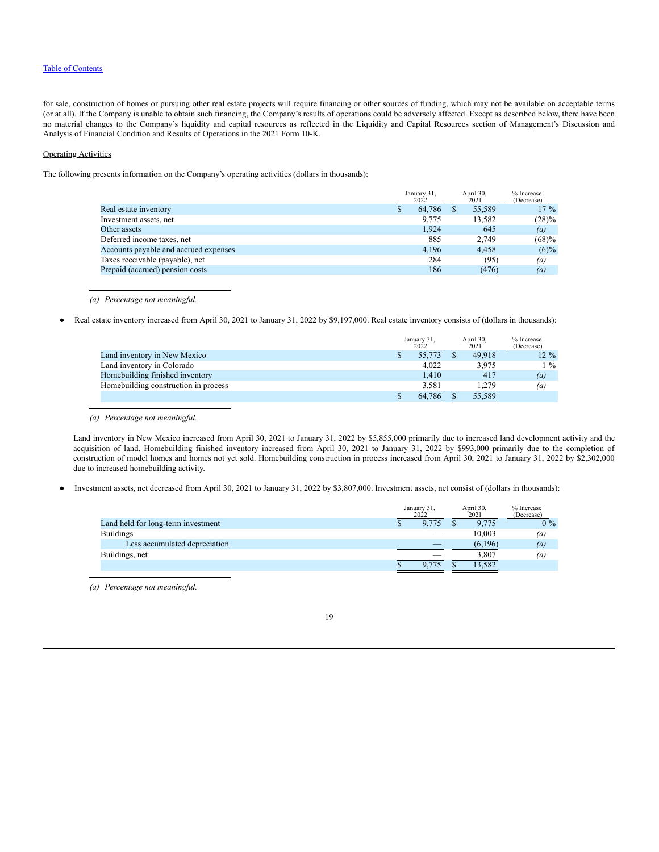for sale, construction of homes or pursuing other real estate projects will require financing or other sources of funding, which may not be available on acceptable terms (or at all). If the Company is unable to obtain such financing, the Company's results of operations could be adversely affected. Except as described below, there have been no material changes to the Company's liquidity and capital resources as reflected in the Liquidity and Capital Resources section of Management's Discussion and Analysis of Financial Condition and Results of Operations in the 2021 Form 10-K.

### Operating Activities

The following presents information on the Company's operating activities (dollars in thousands):

|                                       | January 31,<br>2022 |        | April 30,<br>2021 |        | % Increase<br>(Decrease) |
|---------------------------------------|---------------------|--------|-------------------|--------|--------------------------|
| Real estate inventory                 |                     | 64,786 |                   | 55,589 | $17\%$                   |
| Investment assets, net                |                     | 9.775  |                   | 13.582 | $(28)\%$                 |
| Other assets                          |                     | 1.924  |                   | 645    | (a)                      |
| Deferred income taxes, net            |                     | 885    |                   | 2.749  | (68)%                    |
| Accounts payable and accrued expenses |                     | 4,196  |                   | 4,458  | $(6)\%$                  |
| Taxes receivable (payable), net       |                     | 284    |                   | (95)   | (a)                      |
| Prepaid (accrued) pension costs       |                     | 186    |                   | (476)  | (a)                      |

*(a) Percentage not meaningful.*

Real estate inventory increased from April 30, 2021 to January 31, 2022 by \$9,197,000. Real estate inventory consists of (dollars in thousands):

|                                      |      | January 31. |  | April 30, | % Increase       |  |
|--------------------------------------|------|-------------|--|-----------|------------------|--|
|                                      | 2022 |             |  | 2021      | (Decrease)       |  |
| Land inventory in New Mexico         |      | 55,773      |  | 49.918    | $12\%$           |  |
| Land inventory in Colorado           |      | 4.022       |  | 3.975     | $\frac{0}{0}$    |  |
| Homebuilding finished inventory      |      | 1.410       |  | 417       | $\left(a\right)$ |  |
| Homebuilding construction in process |      | 3.581       |  | 1.279     | (a)              |  |
|                                      |      | 64.786      |  | 55,589    |                  |  |

*(a) Percentage not meaningful.*

Land inventory in New Mexico increased from April 30, 2021 to January 31, 2022 by \$5,855,000 primarily due to increased land development activity and the acquisition of land. Homebuilding finished inventory increased from April 30, 2021 to January 31, 2022 by \$993,000 primarily due to the completion of construction of model homes and homes not yet sold. Homebuilding construction in process increased from April 30, 2021 to January 31, 2022 by \$2,302,000 due to increased homebuilding activity.

● Investment assets, net decreased from April 30, 2021 to January 31, 2022 by \$3,807,000. Investment assets, net consist of (dollars in thousands):

|                                    | January 31,<br>2022 | April 30,<br>2021 | % Increase<br>(Decrease) |
|------------------------------------|---------------------|-------------------|--------------------------|
| Land held for long-term investment | 9.775               | 9.775             | $0\%$                    |
| <b>Buildings</b>                   |                     | 10.003            | (a)                      |
| Less accumulated depreciation      |                     | (6,196)           | $\left(a\right)$         |
| Buildings, net                     |                     | 3,807             | $\left(a\right)$         |
|                                    |                     | 13.582            |                          |

*(a) Percentage not meaningful.*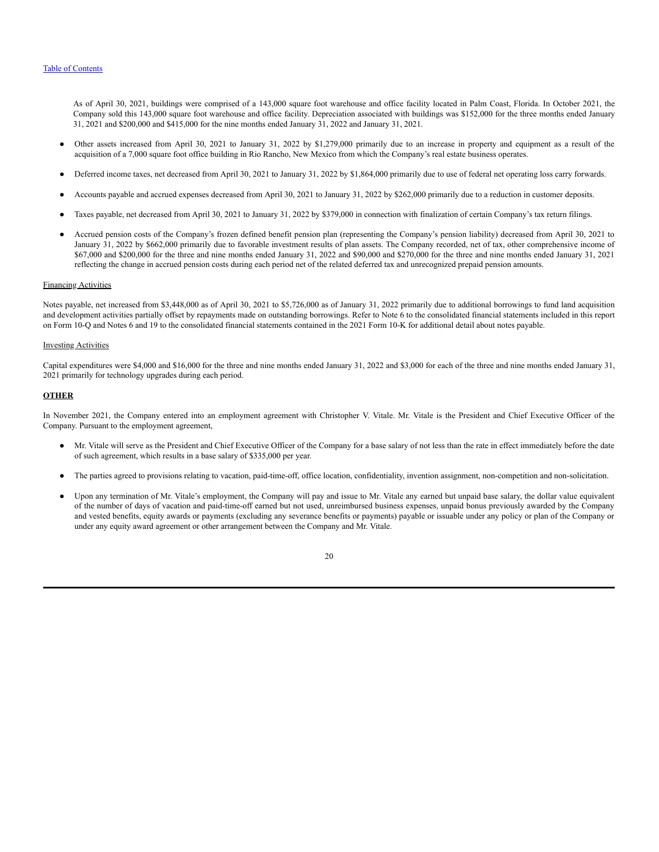As of April 30, 2021, buildings were comprised of a 143,000 square foot warehouse and office facility located in Palm Coast, Florida. In October 2021, the Company sold this 143,000 square foot warehouse and office facility. Depreciation associated with buildings was \$152,000 for the three months ended January 31, 2021 and \$200,000 and \$415,000 for the nine months ended January 31, 2022 and January 31, 2021.

- Other assets increased from April 30, 2021 to January 31, 2022 by \$1,279,000 primarily due to an increase in property and equipment as a result of the acquisition of a 7,000 square foot office building in Rio Rancho, New Mexico from which the Company's real estate business operates.
- Deferred income taxes, net decreased from April 30, 2021 to January 31, 2022 by \$1,864,000 primarily due to use of federal net operating loss carry forwards.
- Accounts payable and accrued expenses decreased from April 30, 2021 to January 31, 2022 by \$262,000 primarily due to a reduction in customer deposits.
- Taxes payable, net decreased from April 30, 2021 to January 31, 2022 by \$379,000 in connection with finalization of certain Company's tax return filings.
- Accrued pension costs of the Company's frozen defined benefit pension plan (representing the Company's pension liability) decreased from April 30, 2021 to January 31, 2022 by \$662,000 primarily due to favorable investment results of plan assets. The Company recorded, net of tax, other comprehensive income of \$67,000 and \$200,000 for the three and nine months ended January 31, 2022 and \$90,000 and \$270,000 for the three and nine months ended January 31, 2021 reflecting the change in accrued pension costs during each period net of the related deferred tax and unrecognized prepaid pension amounts.

### Financing Activities

Notes payable, net increased from \$3,448,000 as of April 30, 2021 to \$5,726,000 as of January 31, 2022 primarily due to additional borrowings to fund land acquisition and development activities partially offset by repayments made on outstanding borrowings. Refer to Note 6 to the consolidated financial statements included in this report on Form 10-Q and Notes 6 and 19 to the consolidated financial statements contained in the 2021 Form 10-K for additional detail about notes payable.

#### Investing Activities

Capital expenditures were \$4,000 and \$16,000 for the three and nine months ended January 31, 2022 and \$3,000 for each of the three and nine months ended January 31, 2021 primarily for technology upgrades during each period.

### **OTHER**

In November 2021, the Company entered into an employment agreement with Christopher V. Vitale. Mr. Vitale is the President and Chief Executive Officer of the Company. Pursuant to the employment agreement,

- Mr. Vitale will serve as the President and Chief Executive Officer of the Company for a base salary of not less than the rate in effect immediately before the date of such agreement, which results in a base salary of \$335,000 per year.
- The parties agreed to provisions relating to vacation, paid-time-off, office location, confidentiality, invention assignment, non-competition and non-solicitation.
- Upon any termination of Mr. Vitale's employment, the Company will pay and issue to Mr. Vitale any earned but unpaid base salary, the dollar value equivalent of the number of days of vacation and paid-time-off earned but not used, unreimbursed business expenses, unpaid bonus previously awarded by the Company and vested benefits, equity awards or payments (excluding any severance benefits or payments) payable or issuable under any policy or plan of the Company or under any equity award agreement or other arrangement between the Company and Mr. Vitale.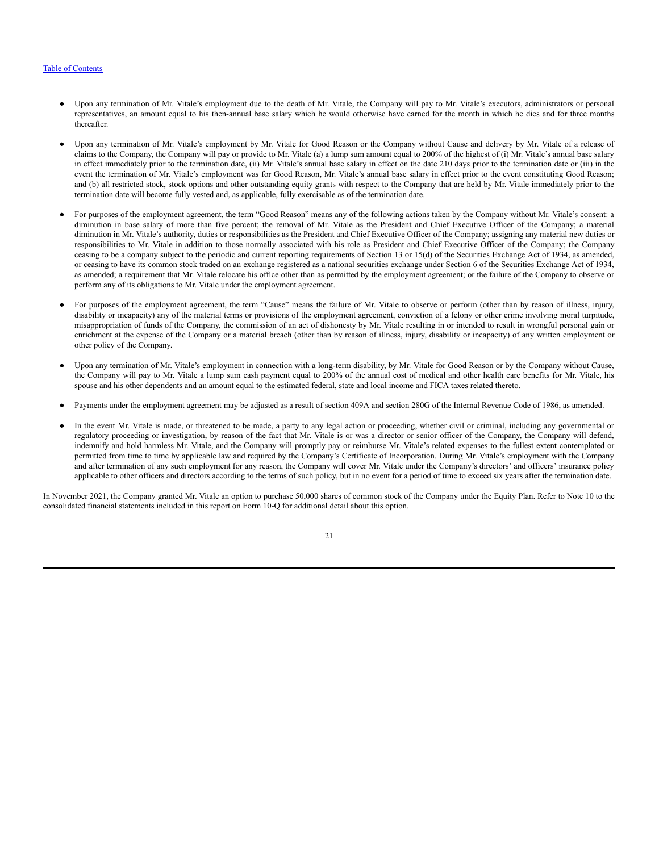- Upon any termination of Mr. Vitale's employment due to the death of Mr. Vitale, the Company will pay to Mr. Vitale's executors, administrators or personal representatives, an amount equal to his then-annual base salary which he would otherwise have earned for the month in which he dies and for three months thereafter.
- Upon any termination of Mr. Vitale's employment by Mr. Vitale for Good Reason or the Company without Cause and delivery by Mr. Vitale of a release of claims to the Company, the Company will pay or provide to Mr. Vitale (a) a lump sum amount equal to 200% of the highest of (i) Mr. Vitale's annual base salary in effect immediately prior to the termination date, (ii) Mr. Vitale's annual base salary in effect on the date 210 days prior to the termination date or (iii) in the event the termination of Mr. Vitale's employment was for Good Reason, Mr. Vitale's annual base salary in effect prior to the event constituting Good Reason; and (b) all restricted stock, stock options and other outstanding equity grants with respect to the Company that are held by Mr. Vitale immediately prior to the termination date will become fully vested and, as applicable, fully exercisable as of the termination date.
- For purposes of the employment agreement, the term "Good Reason" means any of the following actions taken by the Company without Mr. Vitale's consent: a diminution in base salary of more than five percent; the removal of Mr. Vitale as the President and Chief Executive Officer of the Company; a material diminution in Mr. Vitale's authority, duties or responsibilities as the President and Chief Executive Officer of the Company; assigning any material new duties or responsibilities to Mr. Vitale in addition to those normally associated with his role as President and Chief Executive Officer of the Company; the Company ceasing to be a company subject to the periodic and current reporting requirements of Section 13 or 15(d) of the Securities Exchange Act of 1934, as amended, or ceasing to have its common stock traded on an exchange registered as a national securities exchange under Section 6 of the Securities Exchange Act of 1934, as amended; a requirement that Mr. Vitale relocate his office other than as permitted by the employment agreement; or the failure of the Company to observe or perform any of its obligations to Mr. Vitale under the employment agreement.
- For purposes of the employment agreement, the term "Cause" means the failure of Mr. Vitale to observe or perform (other than by reason of illness, injury, disability or incapacity) any of the material terms or provisions of the employment agreement, conviction of a felony or other crime involving moral turpitude, misappropriation of funds of the Company, the commission of an act of dishonesty by Mr. Vitale resulting in or intended to result in wrongful personal gain or enrichment at the expense of the Company or a material breach (other than by reason of illness, injury, disability or incapacity) of any written employment or other policy of the Company.
- Upon any termination of Mr. Vitale's employment in connection with a long-term disability, by Mr. Vitale for Good Reason or by the Company without Cause, the Company will pay to Mr. Vitale a lump sum cash payment equal to 200% of the annual cost of medical and other health care benefits for Mr. Vitale, his spouse and his other dependents and an amount equal to the estimated federal, state and local income and FICA taxes related thereto.
- Payments under the employment agreement may be adjusted as a result of section 409A and section 280G of the Internal Revenue Code of 1986, as amended.
- In the event Mr. Vitale is made, or threatened to be made, a party to any legal action or proceeding, whether civil or criminal, including any governmental or regulatory proceeding or investigation, by reason of the fact that Mr. Vitale is or was a director or senior officer of the Company, the Company will defend, indemnify and hold harmless Mr. Vitale, and the Company will promptly pay or reimburse Mr. Vitale's related expenses to the fullest extent contemplated or permitted from time to time by applicable law and required by the Company's Certificate of Incorporation. During Mr. Vitale's employment with the Company and after termination of any such employment for any reason, the Company will cover Mr. Vitale under the Company's directors' and officers' insurance policy applicable to other officers and directors according to the terms of such policy, but in no event for a period of time to exceed six years after the termination date.

In November 2021, the Company granted Mr. Vitale an option to purchase 50,000 shares of common stock of the Company under the Equity Plan. Refer to Note 10 to the consolidated financial statements included in this report on Form 10-Q for additional detail about this option.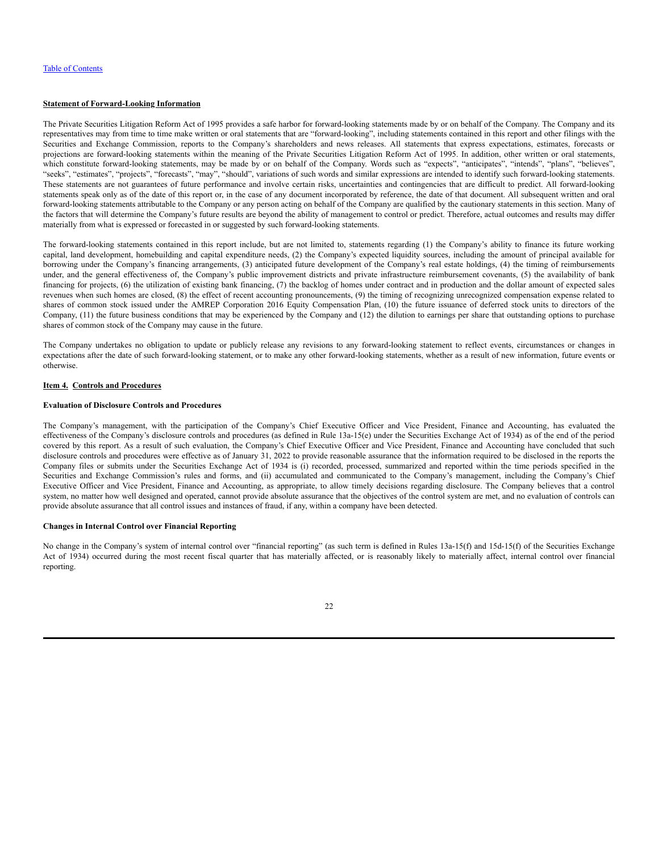#### **Statement of Forward-Looking Information**

The Private Securities Litigation Reform Act of 1995 provides a safe harbor for forward-looking statements made by or on behalf of the Company. The Company and its representatives may from time to time make written or oral statements that are "forward-looking", including statements contained in this report and other filings with the Securities and Exchange Commission, reports to the Company's shareholders and news releases. All statements that express expectations, estimates, forecasts or projections are forward-looking statements within the meaning of the Private Securities Litigation Reform Act of 1995. In addition, other written or oral statements, which constitute forward-looking statements, may be made by or on behalf of the Company. Words such as "expects", "anticipates", "intends", "plans", "believes", "seeks", "estimates", "projects", "forecasts", "may", "should", variations of such words and similar expressions are intended to identify such forward-looking statements. These statements are not guarantees of future performance and involve certain risks, uncertainties and contingencies that are difficult to predict. All forward-looking statements speak only as of the date of this report or, in the case of any document incorporated by reference, the date of that document. All subsequent written and oral forward-looking statements attributable to the Company or any person acting on behalf of the Company are qualified by the cautionary statements in this section. Many of the factors that will determine the Company's future results are beyond the ability of management to control or predict. Therefore, actual outcomes and results may differ materially from what is expressed or forecasted in or suggested by such forward-looking statements.

The forward-looking statements contained in this report include, but are not limited to, statements regarding (1) the Company's ability to finance its future working capital, land development, homebuilding and capital expenditure needs, (2) the Company's expected liquidity sources, including the amount of principal available for borrowing under the Company's financing arrangements, (3) anticipated future development of the Company's real estate holdings, (4) the timing of reimbursements under, and the general effectiveness of, the Company's public improvement districts and private infrastructure reimbursement covenants, (5) the availability of bank financing for projects, (6) the utilization of existing bank financing, (7) the backlog of homes under contract and in production and the dollar amount of expected sales revenues when such homes are closed, (8) the effect of recent accounting pronouncements, (9) the timing of recognizing unrecognized compensation expense related to shares of common stock issued under the AMREP Corporation 2016 Equity Compensation Plan, (10) the future issuance of deferred stock units to directors of the Company, (11) the future business conditions that may be experienced by the Company and (12) the dilution to earnings per share that outstanding options to purchase shares of common stock of the Company may cause in the future.

The Company undertakes no obligation to update or publicly release any revisions to any forward-looking statement to reflect events, circumstances or changes in expectations after the date of such forward-looking statement, or to make any other forward-looking statements, whether as a result of new information, future events or otherwise.

#### <span id="page-22-0"></span>**Item 4. Controls and Procedures**

#### **Evaluation of Disclosure Controls and Procedures**

The Company's management, with the participation of the Company's Chief Executive Officer and Vice President, Finance and Accounting, has evaluated the effectiveness of the Company's disclosure controls and procedures (as defined in Rule 13a-15(e) under the Securities Exchange Act of 1934) as of the end of the period covered by this report. As a result of such evaluation, the Company's Chief Executive Officer and Vice President, Finance and Accounting have concluded that such disclosure controls and procedures were effective as of January 31, 2022 to provide reasonable assurance that the information required to be disclosed in the reports the Company files or submits under the Securities Exchange Act of 1934 is (i) recorded, processed, summarized and reported within the time periods specified in the Securities and Exchange Commission's rules and forms, and (ii) accumulated and communicated to the Company's management, including the Company's Chief Executive Officer and Vice President, Finance and Accounting, as appropriate, to allow timely decisions regarding disclosure. The Company believes that a control system, no matter how well designed and operated, cannot provide absolute assurance that the objectives of the control system are met, and no evaluation of controls can provide absolute assurance that all control issues and instances of fraud, if any, within a company have been detected.

#### **Changes in Internal Control over Financial Reporting**

No change in the Company's system of internal control over "financial reporting" (as such term is defined in Rules 13a-15(f) and 15d-15(f) of the Securities Exchange Act of 1934) occurred during the most recent fiscal quarter that has materially affected, or is reasonably likely to materially affect, internal control over financial reporting.

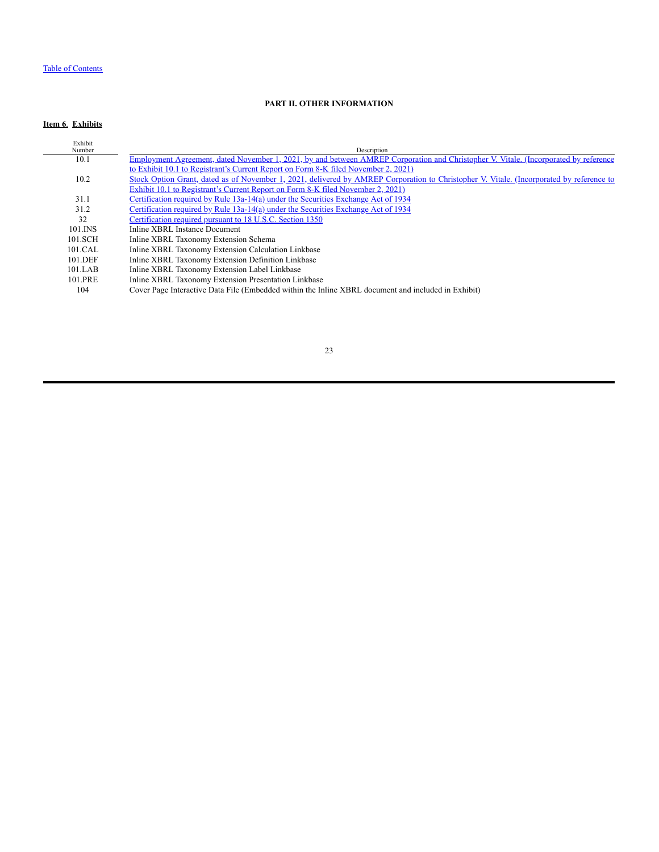# **PART II. OTHER INFORMATION**

# <span id="page-23-1"></span><span id="page-23-0"></span>**Item 6**. **Exhibits**

| Description                                                                                                                              |
|------------------------------------------------------------------------------------------------------------------------------------------|
| Employment Agreement, dated November 1, 2021, by and between AMREP Corporation and Christopher V. Vitale. (Incorporated by reference     |
| to Exhibit 10.1 to Registrant's Current Report on Form 8-K filed November 2, 2021)                                                       |
| Stock Option Grant, dated as of November 1, 2021, delivered by AMREP Corporation to Christopher V. Vitale. (Incorporated by reference to |
| Exhibit 10.1 to Registrant's Current Report on Form 8-K filed November 2, 2021)                                                          |
| Certification required by Rule 13a-14(a) under the Securities Exchange Act of 1934                                                       |
| Certification required by Rule 13a-14(a) under the Securities Exchange Act of 1934                                                       |
| Certification required pursuant to 18 U.S.C. Section 1350                                                                                |
| Inline XBRL Instance Document                                                                                                            |
| Inline XBRL Taxonomy Extension Schema                                                                                                    |
| Inline XBRL Taxonomy Extension Calculation Linkbase                                                                                      |
| Inline XBRL Taxonomy Extension Definition Linkbase                                                                                       |
| Inline XBRL Taxonomy Extension Label Linkbase                                                                                            |
| Inline XBRL Taxonomy Extension Presentation Linkbase                                                                                     |
| Cover Page Interactive Data File (Embedded within the Inline XBRL document and included in Exhibit)                                      |
|                                                                                                                                          |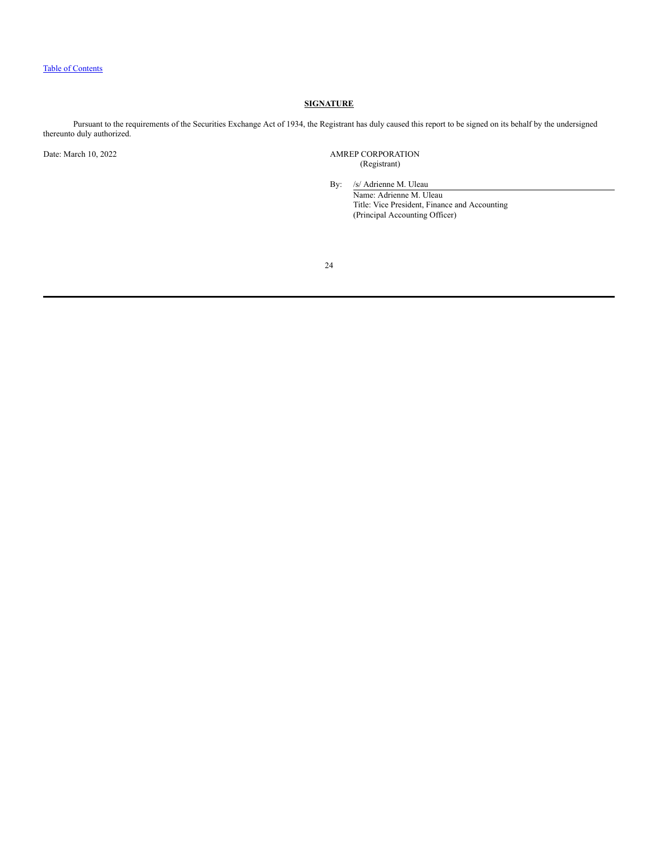# **SIGNATURE**

<span id="page-24-0"></span>Pursuant to the requirements of the Securities Exchange Act of 1934, the Registrant has duly caused this report to be signed on its behalf by the undersigned thereunto duly authorized.

Date: March 10, 2022 AMREP CORPORATION (Registrant)

By: /s/ Adrienne M. Uleau

Name: Adrienne M. Uleau Title: Vice President, Finance and Accounting (Principal Accounting Officer)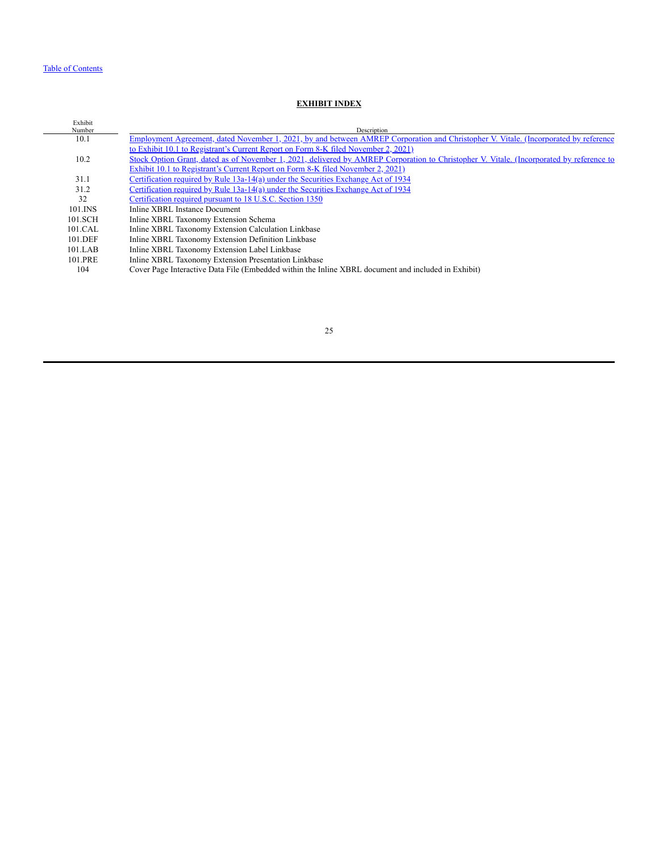# **EXHIBIT INDEX**

<span id="page-25-0"></span>

| Exhibit<br>Number | Description                                                                                                                              |
|-------------------|------------------------------------------------------------------------------------------------------------------------------------------|
| 10.1              | Employment Agreement, dated November 1, 2021, by and between AMREP Corporation and Christopher V. Vitale. (Incorporated by reference     |
|                   | to Exhibit 10.1 to Registrant's Current Report on Form 8-K filed November 2, 2021)                                                       |
| 10.2              | Stock Option Grant, dated as of November 1, 2021, delivered by AMREP Corporation to Christopher V. Vitale. (Incorporated by reference to |
|                   | Exhibit 10.1 to Registrant's Current Report on Form 8-K filed November 2, 2021)                                                          |
| 31.1              | Certification required by Rule 13a-14(a) under the Securities Exchange Act of 1934                                                       |
| 31.2              | Certification required by Rule 13a-14(a) under the Securities Exchange Act of 1934                                                       |
| 32                | Certification required pursuant to 18 U.S.C. Section 1350                                                                                |
| 101.INS           | Inline XBRI. Instance Document                                                                                                           |
| 101.SCH           | Inline XBRL Taxonomy Extension Schema                                                                                                    |
| 101.CAL           | Inline XBRL Taxonomy Extension Calculation Linkbase                                                                                      |
| 101.DEF           | Inline XBRL Taxonomy Extension Definition Linkbase                                                                                       |
| 101.LAB           | Inline XBRL Taxonomy Extension Label Linkbase                                                                                            |
| 101.PRE           | Inline XBRL Taxonomy Extension Presentation Linkbase                                                                                     |
| 104               | Cover Page Interactive Data File (Embedded within the Inline XBRL document and included in Exhibit)                                      |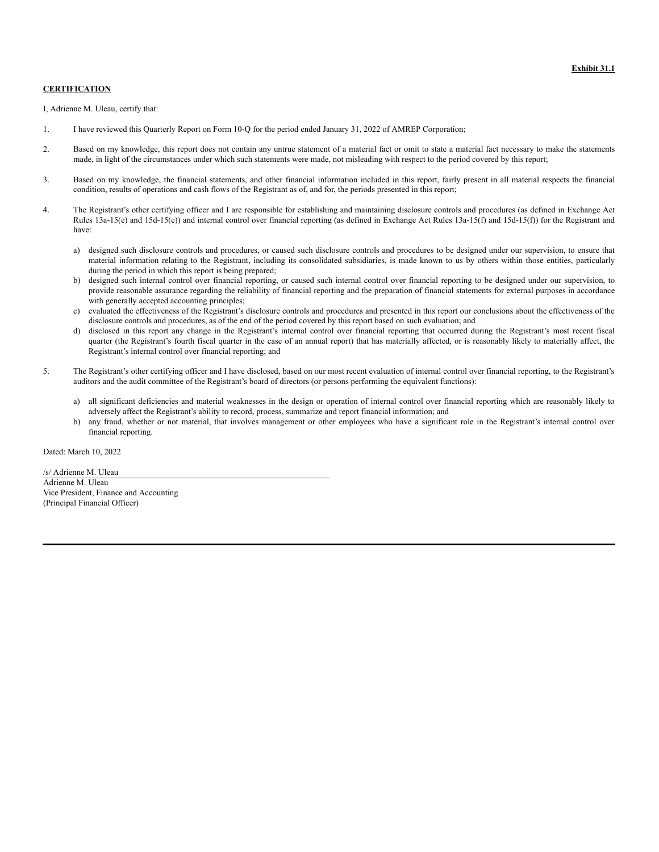### **CERTIFICATION**

I, Adrienne M. Uleau, certify that:

- 1. I have reviewed this Quarterly Report on Form 10-Q for the period ended January 31, 2022 of AMREP Corporation;
- 2. Based on my knowledge, this report does not contain any untrue statement of a material fact or omit to state a material fact necessary to make the statements made, in light of the circumstances under which such statements were made, not misleading with respect to the period covered by this report;
- 3. Based on my knowledge, the financial statements, and other financial information included in this report, fairly present in all material respects the financial condition, results of operations and cash flows of the Registrant as of, and for, the periods presented in this report;
- 4. The Registrant's other certifying officer and I are responsible for establishing and maintaining disclosure controls and procedures (as defined in Exchange Act Rules 13a-15(e) and 15d-15(e)) and internal control over financial reporting (as defined in Exchange Act Rules 13a-15(f) and 15d-15(f)) for the Registrant and have:
	- a) designed such disclosure controls and procedures, or caused such disclosure controls and procedures to be designed under our supervision, to ensure that material information relating to the Registrant, including its consolidated subsidiaries, is made known to us by others within those entities, particularly during the period in which this report is being prepared;
	- b) designed such internal control over financial reporting, or caused such internal control over financial reporting to be designed under our supervision, to provide reasonable assurance regarding the reliability of financial reporting and the preparation of financial statements for external purposes in accordance with generally accepted accounting principles;
	- c) evaluated the effectiveness of the Registrant's disclosure controls and procedures and presented in this report our conclusions about the effectiveness of the disclosure controls and procedures, as of the end of the period covered by this report based on such evaluation; and
	- d) disclosed in this report any change in the Registrant's internal control over financial reporting that occurred during the Registrant's most recent fiscal quarter (the Registrant's fourth fiscal quarter in the case of an annual report) that has materially affected, or is reasonably likely to materially affect, the Registrant's internal control over financial reporting; and
- 5. The Registrant's other certifying officer and I have disclosed, based on our most recent evaluation of internal control over financial reporting, to the Registrant's auditors and the audit committee of the Registrant's board of directors (or persons performing the equivalent functions):
	- a) all significant deficiencies and material weaknesses in the design or operation of internal control over financial reporting which are reasonably likely to adversely affect the Registrant's ability to record, process, summarize and report financial information; and
	- b) any fraud, whether or not material, that involves management or other employees who have a significant role in the Registrant's internal control over financial reporting.

Dated: March 10, 2022

/s/ Adrienne M. Uleau Adrienne M. Uleau Vice President, Finance and Accounting (Principal Financial Officer)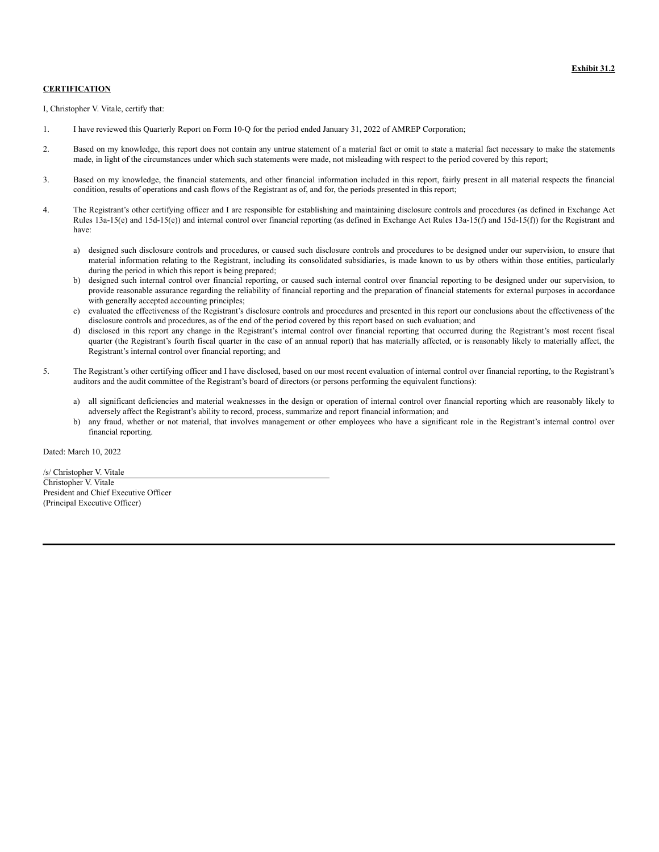### **CERTIFICATION**

I, Christopher V. Vitale, certify that:

- 1. I have reviewed this Quarterly Report on Form 10-Q for the period ended January 31, 2022 of AMREP Corporation;
- 2. Based on my knowledge, this report does not contain any untrue statement of a material fact or omit to state a material fact necessary to make the statements made, in light of the circumstances under which such statements were made, not misleading with respect to the period covered by this report;
- 3. Based on my knowledge, the financial statements, and other financial information included in this report, fairly present in all material respects the financial condition, results of operations and cash flows of the Registrant as of, and for, the periods presented in this report;
- 4. The Registrant's other certifying officer and I are responsible for establishing and maintaining disclosure controls and procedures (as defined in Exchange Act Rules 13a-15(e) and 15d-15(e)) and internal control over financial reporting (as defined in Exchange Act Rules 13a-15(f) and 15d-15(f)) for the Registrant and have:
	- a) designed such disclosure controls and procedures, or caused such disclosure controls and procedures to be designed under our supervision, to ensure that material information relating to the Registrant, including its consolidated subsidiaries, is made known to us by others within those entities, particularly during the period in which this report is being prepared;
	- b) designed such internal control over financial reporting, or caused such internal control over financial reporting to be designed under our supervision, to provide reasonable assurance regarding the reliability of financial reporting and the preparation of financial statements for external purposes in accordance with generally accepted accounting principles;
	- c) evaluated the effectiveness of the Registrant's disclosure controls and procedures and presented in this report our conclusions about the effectiveness of the disclosure controls and procedures, as of the end of the period covered by this report based on such evaluation; and
	- d) disclosed in this report any change in the Registrant's internal control over financial reporting that occurred during the Registrant's most recent fiscal quarter (the Registrant's fourth fiscal quarter in the case of an annual report) that has materially affected, or is reasonably likely to materially affect, the Registrant's internal control over financial reporting; and
- 5. The Registrant's other certifying officer and I have disclosed, based on our most recent evaluation of internal control over financial reporting, to the Registrant's auditors and the audit committee of the Registrant's board of directors (or persons performing the equivalent functions):
	- a) all significant deficiencies and material weaknesses in the design or operation of internal control over financial reporting which are reasonably likely to adversely affect the Registrant's ability to record, process, summarize and report financial information; and
	- b) any fraud, whether or not material, that involves management or other employees who have a significant role in the Registrant's internal control over financial reporting.

Dated: March 10, 2022

/s/ Christopher V. Vitale Christopher V. Vitale President and Chief Executive Officer (Principal Executive Officer)